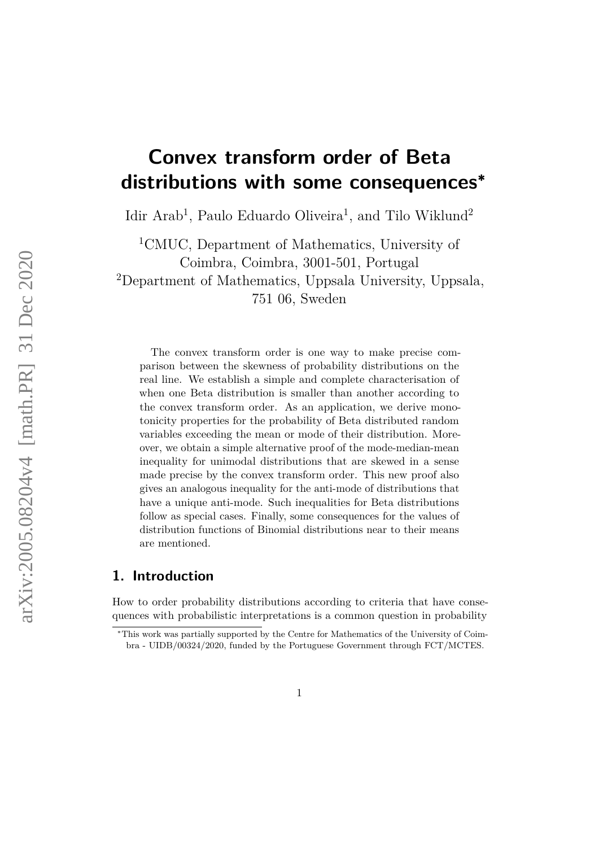# **Convex transform order of Beta distributions with some consequences<sup>∗</sup>**

Idir Arab<sup>1</sup>, Paulo Eduardo Oliveira<sup>1</sup>, and Tilo Wiklund<sup>2</sup>

<sup>1</sup>CMUC, Department of Mathematics, University of Coimbra, Coimbra, 3001-501, Portugal <sup>2</sup>Department of Mathematics, Uppsala University, Uppsala, 751 06, Sweden

The convex transform order is one way to make precise comparison between the skewness of probability distributions on the real line. We establish a simple and complete characterisation of when one Beta distribution is smaller than another according to the convex transform order. As an application, we derive monotonicity properties for the probability of Beta distributed random variables exceeding the mean or mode of their distribution. Moreover, we obtain a simple alternative proof of the mode-median-mean inequality for unimodal distributions that are skewed in a sense made precise by the convex transform order. This new proof also gives an analogous inequality for the anti-mode of distributions that have a unique anti-mode. Such inequalities for Beta distributions follow as special cases. Finally, some consequences for the values of distribution functions of Binomial distributions near to their means are mentioned.

# **1. Introduction**

How to order probability distributions according to criteria that have consequences with probabilistic interpretations is a common question in probability

<sup>∗</sup>This work was partially supported by the Centre for Mathematics of the University of Coimbra - UIDB/00324/2020, funded by the Portuguese Government through FCT/MCTES.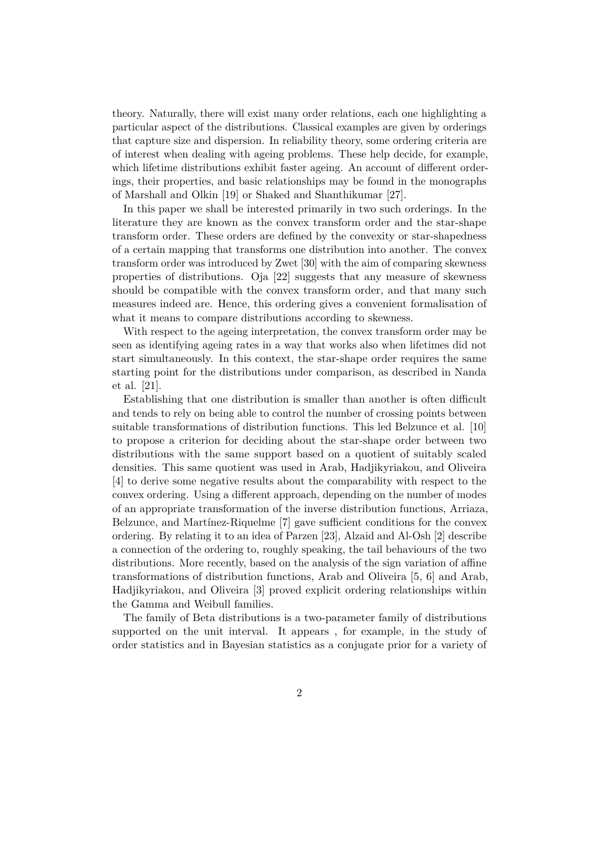theory. Naturally, there will exist many order relations, each one highlighting a particular aspect of the distributions. Classical examples are given by orderings that capture size and dispersion. In reliability theory, some ordering criteria are of interest when dealing with ageing problems. These help decide, for example, which lifetime distributions exhibit faster ageing. An account of different orderings, their properties, and basic relationships may be found in the monographs of Marshall and Olkin [\[19\]](#page-22-0) or Shaked and Shanthikumar [\[27\]](#page-23-0).

In this paper we shall be interested primarily in two such orderings. In the literature they are known as the convex transform order and the star-shape transform order. These orders are defined by the convexity or star-shapedness of a certain mapping that transforms one distribution into another. The convex transform order was introduced by Zwet [\[30\]](#page-23-1) with the aim of comparing skewness properties of distributions. Oja [\[22\]](#page-22-1) suggests that any measure of skewness should be compatible with the convex transform order, and that many such measures indeed are. Hence, this ordering gives a convenient formalisation of what it means to compare distributions according to skewness.

With respect to the ageing interpretation, the convex transform order may be seen as identifying ageing rates in a way that works also when lifetimes did not start simultaneously. In this context, the star-shape order requires the same starting point for the distributions under comparison, as described in Nanda et al. [\[21\]](#page-22-2).

Establishing that one distribution is smaller than another is often difficult and tends to rely on being able to control the number of crossing points between suitable transformations of distribution functions. This led Belzunce et al. [\[10\]](#page-21-0) to propose a criterion for deciding about the star-shape order between two distributions with the same support based on a quotient of suitably scaled densities. This same quotient was used in Arab, Hadjikyriakou, and Oliveira [\[4\]](#page-21-1) to derive some negative results about the comparability with respect to the convex ordering. Using a different approach, depending on the number of modes of an appropriate transformation of the inverse distribution functions, Arriaza, Belzunce, and Martínez-Riquelme [\[7\]](#page-21-2) gave sufficient conditions for the convex ordering. By relating it to an idea of Parzen [\[23\]](#page-22-3), Alzaid and Al-Osh [\[2\]](#page-21-3) describe a connection of the ordering to, roughly speaking, the tail behaviours of the two distributions. More recently, based on the analysis of the sign variation of affine transformations of distribution functions, Arab and Oliveira [\[5,](#page-21-4) [6\]](#page-21-5) and Arab, Hadjikyriakou, and Oliveira [\[3\]](#page-21-6) proved explicit ordering relationships within the Gamma and Weibull families.

The family of Beta distributions is a two-parameter family of distributions supported on the unit interval. It appears , for example, in the study of order statistics and in Bayesian statistics as a conjugate prior for a variety of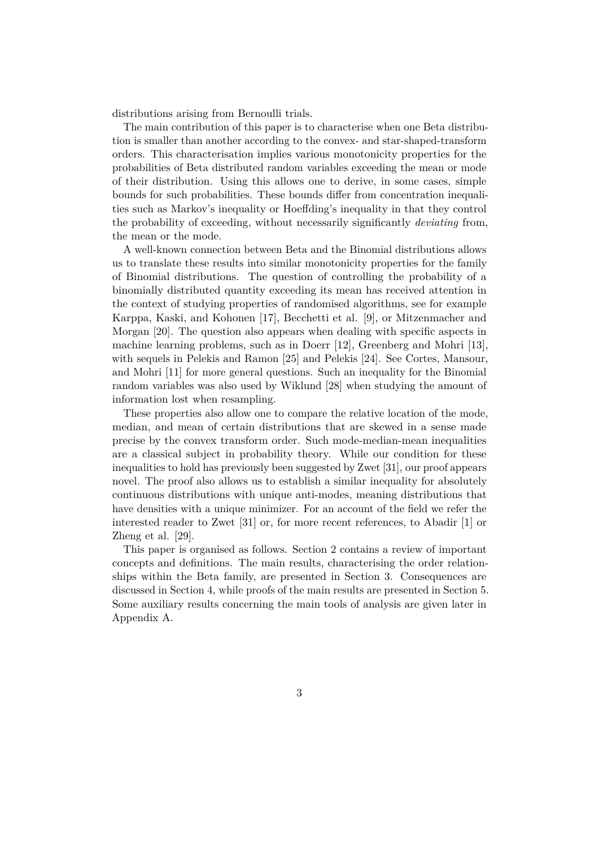distributions arising from Bernoulli trials.

The main contribution of this paper is to characterise when one Beta distribution is smaller than another according to the convex- and star-shaped-transform orders. This characterisation implies various monotonicity properties for the probabilities of Beta distributed random variables exceeding the mean or mode of their distribution. Using this allows one to derive, in some cases, simple bounds for such probabilities. These bounds differ from concentration inequalities such as Markov's inequality or Hoeffding's inequality in that they control the probability of exceeding, without necessarily significantly *deviating* from, the mean or the mode.

A well-known connection between Beta and the Binomial distributions allows us to translate these results into similar monotonicity properties for the family of Binomial distributions. The question of controlling the probability of a binomially distributed quantity exceeding its mean has received attention in the context of studying properties of randomised algorithms, see for example Karppa, Kaski, and Kohonen [\[17\]](#page-22-4), Becchetti et al. [\[9\]](#page-21-7), or Mitzenmacher and Morgan [\[20\]](#page-22-5). The question also appears when dealing with specific aspects in machine learning problems, such as in Doerr [\[12\]](#page-21-8), Greenberg and Mohri [\[13\]](#page-22-6), with sequels in Pelekis and Ramon [\[25\]](#page-22-7) and Pelekis [\[24\]](#page-22-8). See Cortes, Mansour, and Mohri [\[11\]](#page-21-9) for more general questions. Such an inequality for the Binomial random variables was also used by Wiklund [\[28\]](#page-23-2) when studying the amount of information lost when resampling.

These properties also allow one to compare the relative location of the mode, median, and mean of certain distributions that are skewed in a sense made precise by the convex transform order. Such mode-median-mean inequalities are a classical subject in probability theory. While our condition for these inequalities to hold has previously been suggested by Zwet [\[31\]](#page-23-3), our proof appears novel. The proof also allows us to establish a similar inequality for absolutely continuous distributions with unique anti-modes, meaning distributions that have densities with a unique minimizer. For an account of the field we refer the interested reader to Zwet [\[31\]](#page-23-3) or, for more recent references, to Abadir [\[1\]](#page-20-0) or Zheng et al. [\[29\]](#page-23-4).

This paper is organised as follows. Section [2](#page-3-0) contains a review of important concepts and definitions. The main results, characterising the order relationships within the Beta family, are presented in Section [3.](#page-5-0) Consequences are discussed in Section [4,](#page-6-0) while proofs of the main results are presented in Section [5.](#page-10-0) Some auxiliary results concerning the main tools of analysis are given later in Appendix [A.](#page-23-5)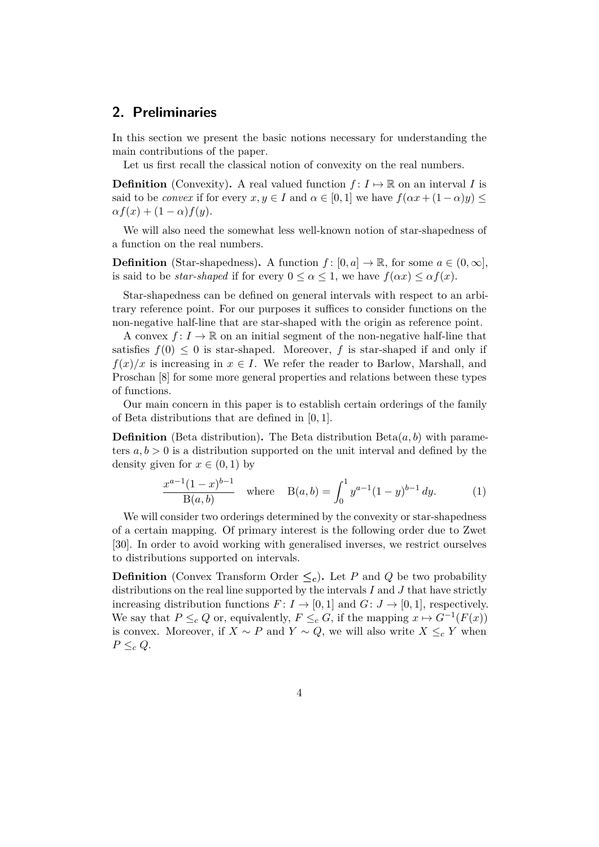# <span id="page-3-0"></span>**2. Preliminaries**

In this section we present the basic notions necessary for understanding the main contributions of the paper.

Let us first recall the classical notion of convexity on the real numbers.

**Definition** (Convexity). A real valued function  $f: I \mapsto \mathbb{R}$  on an interval *I* is said to be *convex* if for every  $x, y \in I$  and  $\alpha \in [0, 1]$  we have  $f(\alpha x + (1 - \alpha)y) \le$  $\alpha f(x) + (1-\alpha)f(y).$ 

We will also need the somewhat less well-known notion of star-shapedness of a function on the real numbers.

**Definition** (Star-shapedness). A function  $f: [0, a] \to \mathbb{R}$ , for some  $a \in (0, \infty]$ , is said to be *star-shaped* if for every  $0 \le \alpha \le 1$ , we have  $f(\alpha x) \le \alpha f(x)$ .

Star-shapedness can be defined on general intervals with respect to an arbitrary reference point. For our purposes it suffices to consider functions on the non-negative half-line that are star-shaped with the origin as reference point.

A convex  $f: I \to \mathbb{R}$  on an initial segment of the non-negative half-line that satisfies  $f(0) \leq 0$  is star-shaped. Moreover, f is star-shaped if and only if  $f(x)/x$  is increasing in  $x \in I$ . We refer the reader to Barlow, Marshall, and Proschan [\[8\]](#page-21-10) for some more general properties and relations between these types of functions.

Our main concern in this paper is to establish certain orderings of the family of Beta distributions that are defined in [0*,* 1].

**Definition** (Beta distribution). The Beta distribution  $Beta(a, b)$  with parameters  $a, b > 0$  is a distribution supported on the unit interval and defined by the density given for  $x \in (0,1)$  by

<span id="page-3-1"></span>
$$
\frac{x^{a-1}(1-x)^{b-1}}{\mathrm{B}(a,b)} \quad \text{where} \quad \mathrm{B}(a,b) = \int_0^1 y^{a-1}(1-y)^{b-1} \, dy. \tag{1}
$$

We will consider two orderings determined by the convexity or star-shapedness of a certain mapping. Of primary interest is the following order due to Zwet [\[30\]](#page-23-1). In order to avoid working with generalised inverses, we restrict ourselves to distributions supported on intervals.

**Definition** (Convex Transform Order  $\leq_c$ ). Let *P* and *Q* be two probability distributions on the real line supported by the intervals *I* and *J* that have strictly increasing distribution functions  $F: I \to [0,1]$  and  $G: J \to [0,1]$ , respectively. We say that  $P \leq_c Q$  or, equivalently,  $F \leq_c G$ , if the mapping  $x \mapsto G^{-1}(F(x))$ is convex. Moreover, if *X* ∼ *P* and *Y* ∼ *Q*, we will also write *X* ≤*<sup>c</sup> Y* when  $P \leq_c Q$ .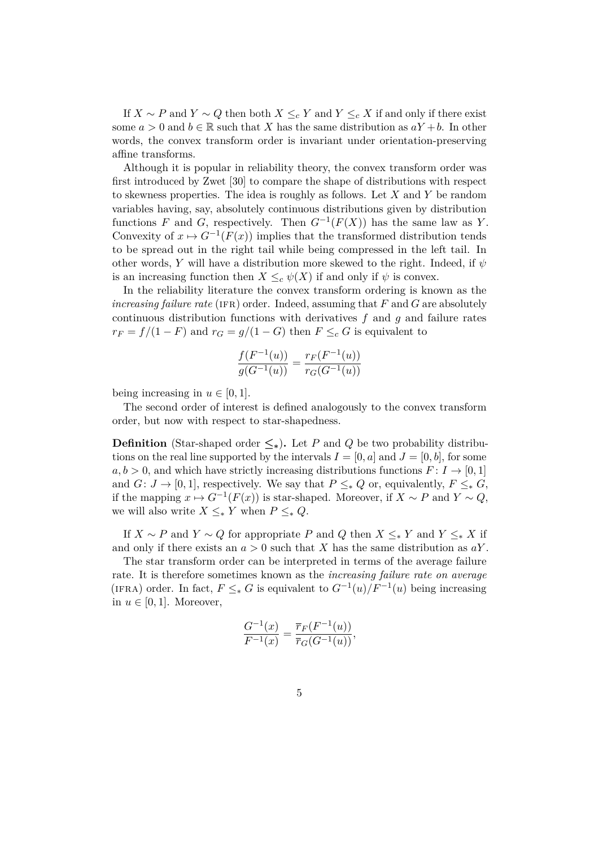If *X* ∼ *P* and *Y* ∼ *Q* then both *X* ≤ *c Y* and *Y* ≤ *c X* if and only if there exist some  $a > 0$  and  $b \in \mathbb{R}$  such that *X* has the same distribution as  $aY + b$ . In other words, the convex transform order is invariant under orientation-preserving affine transforms.

Although it is popular in reliability theory, the convex transform order was first introduced by Zwet [\[30\]](#page-23-1) to compare the shape of distributions with respect to skewness properties. The idea is roughly as follows. Let *X* and *Y* be random variables having, say, absolutely continuous distributions given by distribution functions *F* and *G*, respectively. Then  $G^{-1}(F(X))$  has the same law as *Y*. Convexity of  $x \mapsto G^{-1}(F(x))$  implies that the transformed distribution tends to be spread out in the right tail while being compressed in the left tail. In other words, *Y* will have a distribution more skewed to the right. Indeed, if *ψ* is an increasing function then  $X \leq_c \psi(X)$  if and only if  $\psi$  is convex.

In the reliability literature the convex transform ordering is known as the *increasing failure rate* (IFR) order. Indeed, assuming that  $F$  and  $G$  are absolutely continuous distribution functions with derivatives *f* and *g* and failure rates  $r_F = f/(1 - F)$  and  $r_G = g/(1 - G)$  then  $F \leq_c G$  is equivalent to

$$
\frac{f(F^{-1}(u))}{g(G^{-1}(u))} = \frac{r_F(F^{-1}(u))}{r_G(G^{-1}(u))}
$$

being increasing in  $u \in [0, 1]$ .

The second order of interest is defined analogously to the convex transform order, but now with respect to star-shapedness.

**Definition** (Star-shaped order  $\leq$ <sup>\*</sup>). Let *P* and *Q* be two probability distributions on the real line supported by the intervals  $I = [0, a]$  and  $J = [0, b]$ , for some  $a, b > 0$ , and which have strictly increasing distributions functions  $F: I \rightarrow [0, 1]$ and *G*: *J*  $\rightarrow$  [0, 1], respectively. We say that  $P \leq_* Q$  or, equivalently,  $F \leq_* G$ , if the mapping  $x \mapsto G^{-1}(F(x))$  is star-shaped. Moreover, if  $X \sim P$  and  $Y \sim Q$ , we will also write  $X \leq_{*} Y$  when  $P \leq_{*} Q$ .

If  $X \sim P$  and  $Y \sim Q$  for appropriate  $P$  and  $Q$  then  $X \leq_{\ast} Y$  and  $Y \leq_{\ast} X$  if and only if there exists an  $a > 0$  such that *X* has the same distribution as  $aY$ .

The star transform order can be interpreted in terms of the average failure rate. It is therefore sometimes known as the *increasing failure rate on average* (IFRA) order. In fact,  $F \leq_* G$  is equivalent to  $G^{-1}(u)/F^{-1}(u)$  being increasing in  $u \in [0, 1]$ . Moreover,

$$
\frac{G^{-1}(x)}{F^{-1}(x)} = \frac{\overline{r}_F(F^{-1}(u))}{\overline{r}_G(G^{-1}(u))},
$$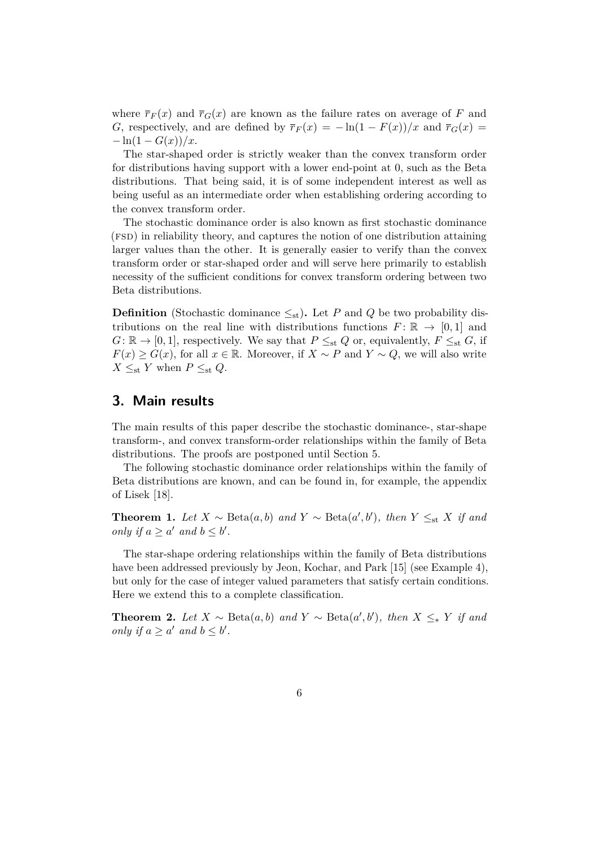where  $\overline{r}_F(x)$  and  $\overline{r}_G(x)$  are known as the failure rates on average of F and *G*, respectively, and are defined by  $\overline{r}_F(x) = -\ln(1 - F(x))/x$  and  $\overline{r}_G(x) =$  $-\ln(1 - G(x))/x$ .

The star-shaped order is strictly weaker than the convex transform order for distributions having support with a lower end-point at 0, such as the Beta distributions. That being said, it is of some independent interest as well as being useful as an intermediate order when establishing ordering according to the convex transform order.

The stochastic dominance order is also known as first stochastic dominance (fsd) in reliability theory, and captures the notion of one distribution attaining larger values than the other. It is generally easier to verify than the convex transform order or star-shaped order and will serve here primarily to establish necessity of the sufficient conditions for convex transform ordering between two Beta distributions.

**Definition** (Stochastic dominance  $\leq_{st}$ ). Let *P* and *Q* be two probability distributions on the real line with distributions functions  $F: \mathbb{R} \to [0,1]$  and  $G: \mathbb{R} \to [0,1]$ , respectively. We say that  $P \leq_{st} Q$  or, equivalently,  $F \leq_{st} G$ , if *F*(*x*) ≥ *G*(*x*), for all *x* ∈ R. Moreover, if *X* ∼ *P* and *Y* ∼ *Q*, we will also write  $X \leq_{st} Y$  when  $P \leq_{st} Q$ .

# <span id="page-5-0"></span>**3. Main results**

The main results of this paper describe the stochastic dominance-, star-shape transform-, and convex transform-order relationships within the family of Beta distributions. The proofs are postponed until Section [5.](#page-10-0)

The following stochastic dominance order relationships within the family of Beta distributions are known, and can be found in, for example, the appendix of Lisek [\[18\]](#page-22-9).

<span id="page-5-2"></span>**Theorem 1.** *Let*  $X \sim \text{Beta}(a, b)$  *and*  $Y \sim \text{Beta}(a', b')$ *, then*  $Y \leq_{st} X$  *if and only if*  $a \ge a'$  *and*  $b \le b'$ *.* 

The star-shape ordering relationships within the family of Beta distributions have been addressed previously by Jeon, Kochar, and Park [\[15\]](#page-22-10) (see Example 4). but only for the case of integer valued parameters that satisfy certain conditions. Here we extend this to a complete classification.

<span id="page-5-1"></span>**Theorem 2.** *Let*  $X \sim \text{Beta}(a, b)$  *and*  $Y \sim \text{Beta}(a', b')$ *, then*  $X \leq_{*} Y$  *if and only if*  $a \ge a'$  *and*  $b \le b'$ *.*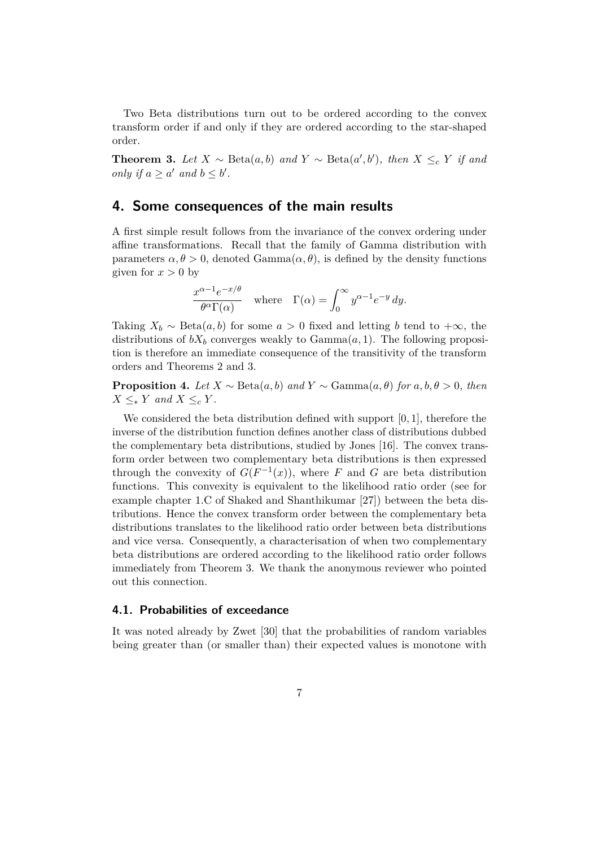Two Beta distributions turn out to be ordered according to the convex transform order if and only if they are ordered according to the star-shaped order.

<span id="page-6-1"></span>**Theorem 3.** Let  $X \sim \text{Beta}(a, b)$  and  $Y \sim \text{Beta}(a', b')$ , then  $X \leq_c Y$  if and *only if*  $a \ge a'$  *and*  $b \le b'$ *.* 

# <span id="page-6-0"></span>**4. Some consequences of the main results**

A first simple result follows from the invariance of the convex ordering under affine transformations. Recall that the family of Gamma distribution with parameters  $\alpha, \theta > 0$ , denoted Gamma $(\alpha, \theta)$ , is defined by the density functions given for  $x > 0$  by

$$
\frac{x^{\alpha-1}e^{-x/\theta}}{\theta^{\alpha}\Gamma(\alpha)} \quad \text{where} \quad \Gamma(\alpha) = \int_0^\infty y^{\alpha-1}e^{-y} \, dy.
$$

Taking  $X_b \sim \text{Beta}(a, b)$  for some  $a > 0$  fixed and letting *b* tend to  $+\infty$ , the distributions of  $bX_b$  converges weakly to Gamma $(a, 1)$ . The following proposition is therefore an immediate consequence of the transitivity of the transform orders and Theorems [2](#page-5-1) and [3.](#page-6-1)

**Proposition 4.** *Let*  $X \sim \text{Beta}(a, b)$  *and*  $Y \sim \text{Gamma}(a, \theta)$  *for*  $a, b, \theta > 0$ *, then*  $X \leq_{*} Y$  *and*  $X \leq_{c} Y$ *.* 

We considered the beta distribution defined with support [0*,* 1], therefore the inverse of the distribution function defines another class of distributions dubbed the complementary beta distributions, studied by Jones [\[16\]](#page-22-11). The convex transform order between two complementary beta distributions is then expressed through the convexity of  $G(F^{-1}(x))$ , where *F* and *G* are beta distribution functions. This convexity is equivalent to the likelihood ratio order (see for example chapter 1.C of Shaked and Shanthikumar [\[27\]](#page-23-0)) between the beta distributions. Hence the convex transform order between the complementary beta distributions translates to the likelihood ratio order between beta distributions and vice versa. Consequently, a characterisation of when two complementary beta distributions are ordered according to the likelihood ratio order follows immediately from Theorem [3.](#page-6-1) We thank the anonymous reviewer who pointed out this connection.

## **4.1. Probabilities of exceedance**

It was noted already by Zwet [\[30\]](#page-23-1) that the probabilities of random variables being greater than (or smaller than) their expected values is monotone with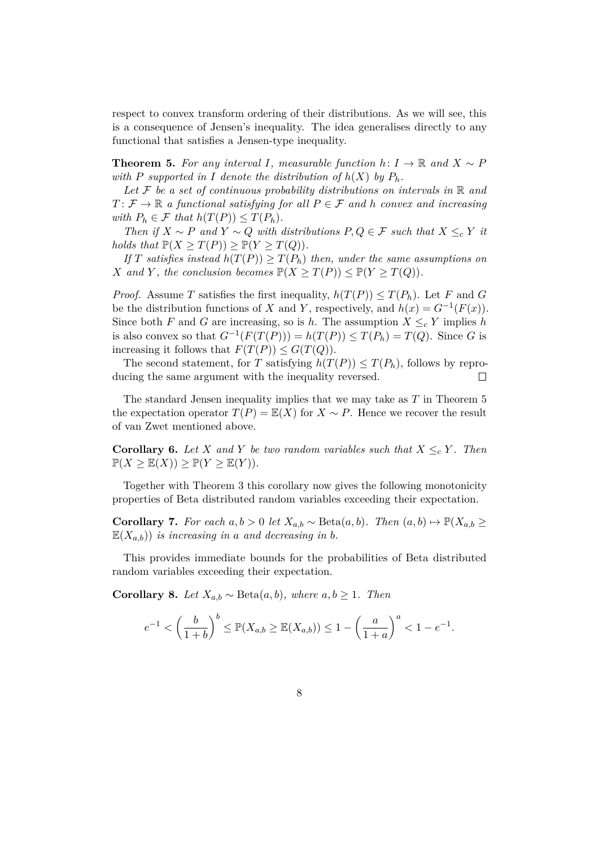respect to convex transform ordering of their distributions. As we will see, this is a consequence of Jensen's inequality. The idea generalises directly to any functional that satisfies a Jensen-type inequality.

<span id="page-7-0"></span>**Theorem 5.** For any interval *I*, measurable function  $h: I \to \mathbb{R}$  and  $X \sim P$ *with P supported in I denote the distribution of*  $h(X)$  *by*  $P_h$ *.* 

Let  $F$  be a set of continuous probability distributions on intervals in  $\mathbb R$  and  $T: \mathcal{F} \to \mathbb{R}$  *a functional satisfying for all*  $P \in \mathcal{F}$  *and h convex and increasing with*  $P_h \in \mathcal{F}$  *that*  $h(T(P)) \leq T(P_h)$ *.* 

*Then if*  $X \sim P$  *and*  $Y \sim Q$  *with distributions*  $P, Q \in F$  *such that*  $X \leq_c Y$  *it holds that*  $\mathbb{P}(X \geq T(P)) \geq \mathbb{P}(Y \geq T(Q)).$ 

*If T satisfies instead*  $h(T(P)) \geq T(P_h)$  *then, under the same assumptions on X* and *Y*, the conclusion becomes  $\mathbb{P}(X \geq T(P)) \leq \mathbb{P}(Y \geq T(Q)).$ 

*Proof.* Assume *T* satisfies the first inequality,  $h(T(P)) \leq T(P_h)$ . Let *F* and *G* be the distribution functions of *X* and *Y*, respectively, and  $h(x) = G^{-1}(F(x))$ . Since both *F* and *G* are increasing, so is *h*. The assumption  $X \leq_c Y$  implies *h* is also convex so that  $G^{-1}(F(T(P))) = h(T(P)) \leq T(P_h) = T(Q)$ . Since *G* is increasing it follows that  $F(T(P)) \leq G(T(Q))$ .

The second statement, for *T* satisfying  $h(T(P)) \leq T(P_h)$ , follows by reproducing the same argument with the inequality reversed.  $\Box$ 

The standard Jensen inequality implies that we may take as *T* in Theorem [5](#page-7-0) the expectation operator  $T(P) = \mathbb{E}(X)$  for  $X \sim P$ . Hence we recover the result of van Zwet mentioned above.

<span id="page-7-2"></span>**Corollary 6.** Let *X* and *Y* be two random variables such that  $X \leq_c Y$ . Then  $\mathbb{P}(X \geq \mathbb{E}(X)) \geq \mathbb{P}(Y \geq \mathbb{E}(Y)).$ 

Together with Theorem [3](#page-6-1) this corollary now gives the following monotonicity properties of Beta distributed random variables exceeding their expectation.

<span id="page-7-1"></span>**Corollary 7.** For each  $a, b > 0$  let  $X_{a,b} \sim \text{Beta}(a, b)$ . Then  $(a, b) \mapsto \mathbb{P}(X_{a,b} \geq$  $E(X_{a,b})$  *is increasing in a and decreasing in b.* 

This provides immediate bounds for the probabilities of Beta distributed random variables exceeding their expectation.

Corollary 8. *Let*  $X_{a,b}$  ∼ Beta $(a, b)$ *, where*  $a, b \ge 1$ *. Then* 

$$
e^{-1} < \left(\frac{b}{1+b}\right)^b \le \mathbb{P}(X_{a,b} \ge \mathbb{E}(X_{a,b})) \le 1 - \left(\frac{a}{1+a}\right)^a < 1 - e^{-1}.
$$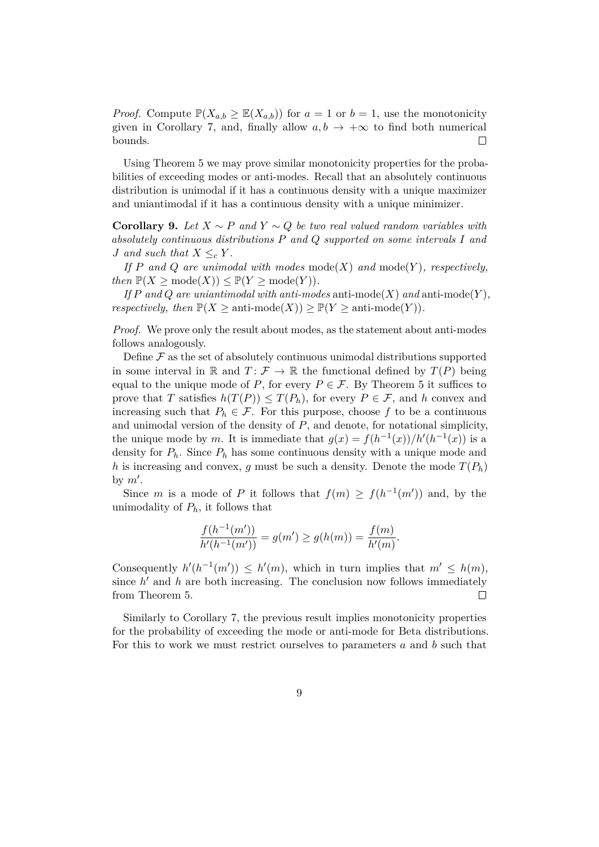*Proof.* Compute  $\mathbb{P}(X_{a,b} \geq \mathbb{E}(X_{a,b}))$  for  $a = 1$  or  $b = 1$ , use the monotonicity given in Corollary [7,](#page-7-1) and, finally allow  $a, b \rightarrow +\infty$  to find both numerical bounds.  $\Box$ 

Using Theorem [5](#page-7-0) we may prove similar monotonicity properties for the probabilities of exceeding modes or anti-modes. Recall that an absolutely continuous distribution is unimodal if it has a continuous density with a unique maximizer and uniantimodal if it has a continuous density with a unique minimizer.

<span id="page-8-0"></span>**Corollary 9.** *Let*  $X \sim P$  *and*  $Y \sim Q$  *be two real valued random variables with absolutely continuous distributions P and Q supported on some intervals I and J* and such that  $X \leq_c Y$ .

*If P and Q are unimodal with modes* mode(*X*) *and* mode(*Y* )*, respectively,*  $then \mathbb{P}(X \geq \text{mode}(X)) \leq \mathbb{P}(Y \geq \text{mode}(Y)).$ 

*If*  $P$  *and*  $Q$  *are uniantimodal with anti-modes* anti-mode $(X)$  *and* anti-mode $(Y)$ *, respectively, then*  $\mathbb{P}(X \ge \text{anti-mode}(X)) \ge \mathbb{P}(Y \ge \text{anti-mode}(Y)).$ 

*Proof.* We prove only the result about modes, as the statement about anti-modes follows analogously.

Define  $\mathcal F$  as the set of absolutely continuous unimodal distributions supported in some interval in R and  $T: \mathcal{F} \to \mathbb{R}$  the functional defined by  $T(P)$  being equal to the unique mode of *P*, for every  $P \in \mathcal{F}$ . By Theorem [5](#page-7-0) it suffices to prove that *T* satisfies  $h(T(P)) \leq T(P_h)$ , for every  $P \in \mathcal{F}$ , and *h* convex and increasing such that  $P_h \in \mathcal{F}$ . For this purpose, choose  $f$  to be a continuous and unimodal version of the density of *P*, and denote, for notational simplicity, the unique mode by *m*. It is immediate that  $g(x) = f(h^{-1}(x))/h'(h^{-1}(x))$  is a density for  $P_h$ . Since  $P_h$  has some continuous density with a unique mode and *h* is increasing and convex, *g* must be such a density. Denote the mode  $T(P_h)$ by  $m'$ .

Since *m* is a mode of *P* it follows that  $f(m) \ge f(h^{-1}(m'))$  and, by the unimodality of  $P_h$ , it follows that

$$
\frac{f(h^{-1}(m'))}{h'(h^{-1}(m'))} = g(m') \ge g(h(m)) = \frac{f(m)}{h'(m)}.
$$

Consequently  $h'(h^{-1}(m')) \leq h'(m)$ , which in turn implies that  $m' \leq h(m)$ , since  $h'$  and  $h$  are both increasing. The conclusion now follows immediately from Theorem [5.](#page-7-0)  $\Box$ 

Similarly to Corollary [7,](#page-7-1) the previous result implies monotonicity properties for the probability of exceeding the mode or anti-mode for Beta distributions. For this to work we must restrict ourselves to parameters *a* and *b* such that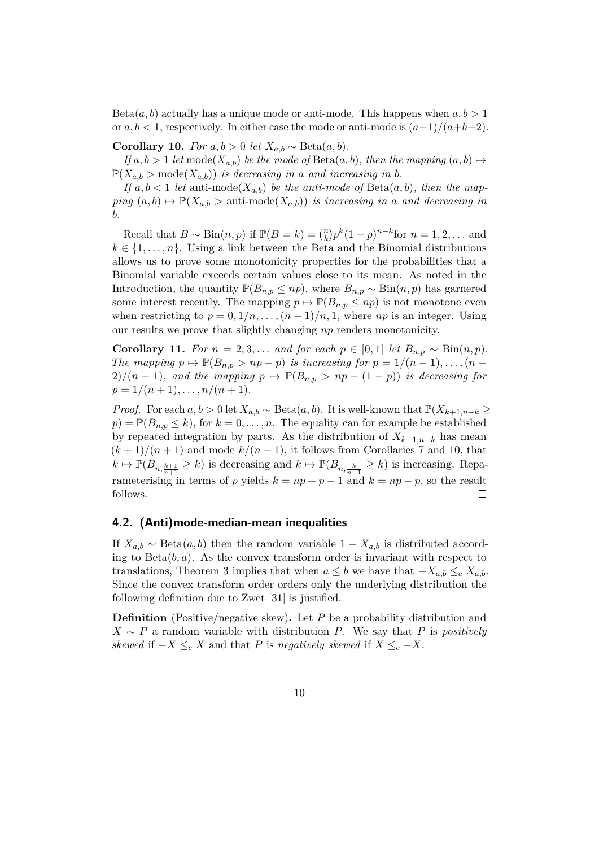$Beta(a, b)$  actually has a unique mode or anti-mode. This happens when  $a, b > 1$ or  $a, b < 1$ , respectively. In either case the mode or anti-mode is  $(a-1)/(a+b-2)$ .

<span id="page-9-0"></span>**Corollary 10.** *For*  $a, b > 0$  *let*  $X_{a,b} \sim \text{Beta}(a, b)$ *.* 

*If*  $a, b > 1$  *let* mode $(X_{a,b})$  *be the mode of*  $Beta(a, b)$ *, then the mapping*  $(a, b) \mapsto$  $\mathbb{P}(X_{a,b} > \text{mode}(X_{a,b}))$  *is decreasing in a and increasing in b.* 

If  $a, b < 1$  *let* anti-mode( $X_{a,b}$ ) *be the anti-mode of* Beta( $a, b$ )*, then the map-* $\text{ping } (a, b) \mapsto \mathbb{P}(X_{a,b} > \text{anti-mode}(X_{a,b}))$  *is increasing in a and decreasing in b.*

Recall that  $B \sim \text{Bin}(n, p)$  if  $\mathbb{P}(B = k) = \binom{n}{k} p^k (1-p)^{n-k}$  for  $n = 1, 2, \dots$  and  $k \in \{1, \ldots, n\}$ . Using a link between the Beta and the Binomial distributions allows us to prove some monotonicity properties for the probabilities that a Binomial variable exceeds certain values close to its mean. As noted in the Introduction, the quantity  $\mathbb{P}(B_{n,p} \leq np)$ , where  $B_{n,p} \sim Bin(n,p)$  has garnered some interest recently. The mapping  $p \mapsto \mathbb{P}(B_{n,p} \leq np)$  is not monotone even when restricting to  $p = 0, 1/n, \ldots, (n-1)/n, 1$ , where  $np$  is an integer. Using our results we prove that slightly changing *np* renders monotonicity.

**Corollary 11.** *For*  $n = 2, 3, \ldots$  *and for each*  $p \in [0, 1]$  *let*  $B_{n,p} \sim Bin(n, p)$ *. The mapping*  $p \mapsto \mathbb{P}(B_{n,p} > np - p)$  *is increasing for*  $p = 1/(n-1), \ldots, (n-1)$ 2)/( $n-1$ ), and the mapping  $p \mapsto \mathbb{P}(B_{n,p} > np - (1-p))$  is decreasing for  $p = 1/(n + 1), \ldots, n/(n + 1).$ 

*Proof.* For each  $a, b > 0$  let  $X_{a,b} \sim \text{Beta}(a, b)$ . It is well-known that  $\mathbb{P}(X_{k+1,n-k} \geq$  $p) = \mathbb{P}(B_{n,p} \leq k)$ , for  $k = 0, \ldots, n$ . The equality can for example be established by repeated integration by parts. As the distribution of  $X_{k+1,n-k}$  has mean  $(k+1)/(n+1)$  and mode  $k/(n-1)$ , it follows from Corollaries [7](#page-7-1) and [10,](#page-9-0) that  $k \mapsto \mathbb{P}(B_{n,\frac{k+1}{n+1}} \geq k)$  is decreasing and  $k \mapsto \mathbb{P}(B_{n,\frac{k}{n-1}} \geq k)$  is increasing. Reparameterising in terms of *p* yields  $k = np + p - 1$  and  $k = np - p$ , so the result follows.  $\Box$ 

## <span id="page-9-1"></span>**4.2. (Anti)mode-median-mean inequalities**

If  $X_{a,b} \sim \text{Beta}(a, b)$  then the random variable  $1 - X_{a,b}$  is distributed according to Beta $(b, a)$ . As the convex transform order is invariant with respect to translations, Theorem [3](#page-6-1) implies that when  $a \leq b$  we have that  $-X_{a,b} \leq_c X_{a,b}$ . Since the convex transform order orders only the underlying distribution the following definition due to Zwet [\[31\]](#page-23-3) is justified.

**Definition** (Positive/negative skew). Let P be a probability distribution and  $X \sim P$  a random variable with distribution *P*. We say that *P* is *positively skewed* if  $-X \leq_c X$  and that *P* is *negatively skewed* if  $X \leq_c -X$ .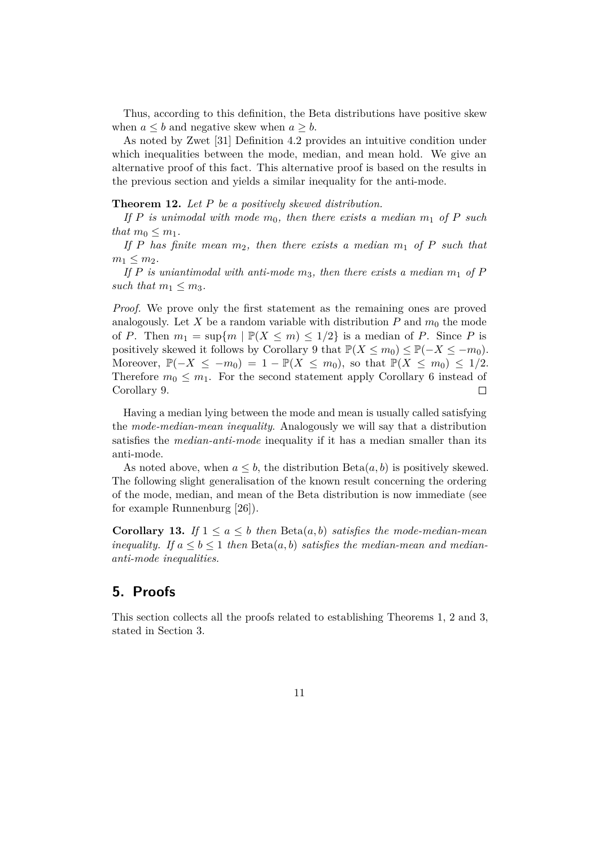Thus, according to this definition, the Beta distributions have positive skew when  $a \leq b$  and negative skew when  $a \geq b$ .

As noted by Zwet [\[31\]](#page-23-3) Definition [4.2](#page-9-1) provides an intuitive condition under which inequalities between the mode, median, and mean hold. We give an alternative proof of this fact. This alternative proof is based on the results in the previous section and yields a similar inequality for the anti-mode.

#### **Theorem 12.** *Let P be a positively skewed distribution.*

If P is unimodal with mode  $m_0$ , then there exists a median  $m_1$  of P such *that*  $m_0 \leq m_1$ *.* 

If P has finite mean  $m_2$ , then there exists a median  $m_1$  of P such that  $m_1 \leq m_2$ .

*If P is uniantimodal with anti-mode*  $m_3$ *, then there exists a median*  $m_1$  *of P such that*  $m_1 \leq m_3$ *.* 

*Proof.* We prove only the first statement as the remaining ones are proved analogously. Let X be a random variable with distribution  $P$  and  $m_0$  the mode of *P*. Then  $m_1 = \sup\{m \mid \mathbb{P}(X \leq m) \leq 1/2\}$  is a median of *P*. Since *P* is positively skewed it follows by Corollary [9](#page-8-0) that  $\mathbb{P}(X \le m_0) \le \mathbb{P}(-X \le -m_0)$ . Moreover,  $\mathbb{P}(-X \leq -m_0) = 1 - \mathbb{P}(X \leq m_0)$ , so that  $\mathbb{P}(X \leq m_0) \leq 1/2$ . Therefore  $m_0 \leq m_1$ . For the second statement apply Corollary [6](#page-7-2) instead of Corollary [9.](#page-8-0)  $\Box$ 

Having a median lying between the mode and mean is usually called satisfying the *mode-median-mean inequality*. Analogously we will say that a distribution satisfies the *median-anti-mode* inequality if it has a median smaller than its anti-mode.

As noted above, when  $a \leq b$ , the distribution  $Beta(a, b)$  is positively skewed. The following slight generalisation of the known result concerning the ordering of the mode, median, and mean of the Beta distribution is now immediate (see for example Runnenburg [\[26\]](#page-23-6)).

**Corollary 13.** *If*  $1 \leq a \leq b$  *then* Beta $(a, b)$  *satisfies the mode-median-mean inequality.* If  $a \leq b \leq 1$  then  $Beta(a, b)$  *satisfies the median-mean and mediananti-mode inequalities.*

# <span id="page-10-0"></span>**5. Proofs**

This section collects all the proofs related to establishing Theorems [1,](#page-5-2) [2](#page-5-1) and [3,](#page-6-1) stated in Section [3.](#page-5-0)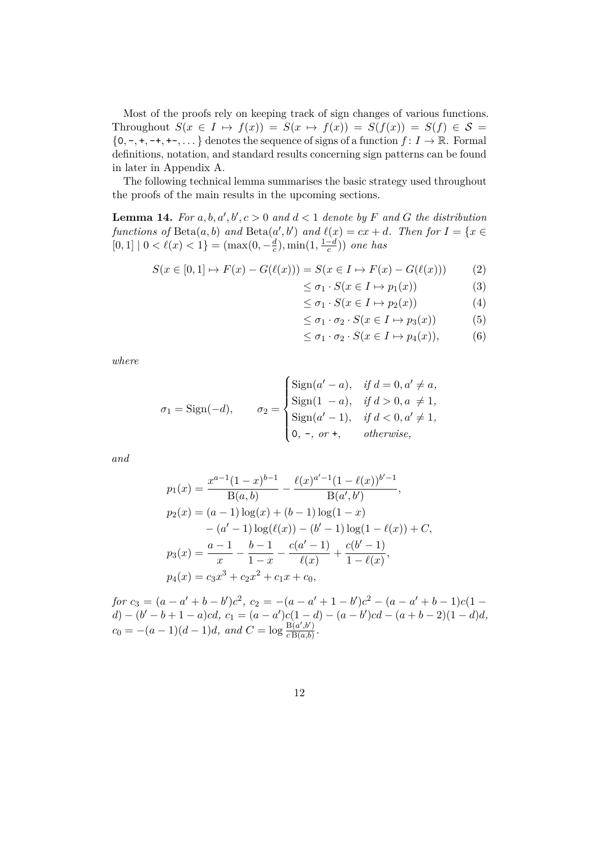Most of the proofs rely on keeping track of sign changes of various functions. Throughout  $S(x \in I \mapsto f(x)) = S(x \mapsto f(x)) = S(f(x)) = S(f) \in S =$  $\{0, -, +, -+, +-,\dots\}$  denotes the sequence of signs of a function  $f: I \to \mathbb{R}$ . Formal definitions, notation, and standard results concerning sign patterns can be found in later in Appendix [A.](#page-23-5)

The following technical lemma summarises the basic strategy used throughout the proofs of the main results in the upcoming sections.

<span id="page-11-5"></span>**Lemma 14.** For  $a, b, a', b', c > 0$  and  $d < 1$  denote by F and G the distribution *functions of*  $Beta(a, b)$  *and*  $Beta(a', b')$  *and*  $\ell(x) = cx + d$ *. Then for*  $I = \{x \in$  $[0, 1]$  |  $0 < \ell(x) < 1$ } =  $(\max(0, -\frac{d}{c}))$  $\frac{d}{c}$ ), min(1,  $\frac{1-d}{c}$ *c* )) *one has*

$$
S(x \in [0,1] \to F(x) - G(\ell(x))) = S(x \in I \to F(x) - G(\ell(x)))
$$
 (2)

<span id="page-11-1"></span><span id="page-11-0"></span>
$$
\leq \sigma_1 \cdot S(x \in I \mapsto p_1(x)) \tag{3}
$$

<span id="page-11-3"></span><span id="page-11-2"></span>
$$
\leq \sigma_1 \cdot S(x \in I \mapsto p_2(x)) \tag{4}
$$

$$
\leq \sigma_1 \cdot \sigma_2 \cdot S(x \in I \mapsto p_3(x)) \tag{5}
$$

<span id="page-11-4"></span>
$$
\leq \sigma_1 \cdot \sigma_2 \cdot S(x \in I \mapsto p_4(x)), \tag{6}
$$

*where*

$$
\sigma_1 = \text{Sign}(-d), \qquad \sigma_2 = \begin{cases} \text{Sign}(a' - a), & \text{if } d = 0, a' \neq a, \\ \text{Sign}(1 - a), & \text{if } d > 0, a \neq 1, \\ \text{Sign}(a' - 1), & \text{if } d < 0, a' \neq 1, \\ 0, -, \text{ or } +, & \text{otherwise,} \end{cases}
$$

*and*

$$
p_1(x) = \frac{x^{a-1}(1-x)^{b-1}}{\text{B}(a,b)} - \frac{\ell(x)^{a'-1}(1-\ell(x))^{b'-1}}{\text{B}(a',b')},
$$
  
\n
$$
p_2(x) = (a-1)\log(x) + (b-1)\log(1-x) - (a'-1)\log(\ell(x)) - (b'-1)\log(1-\ell(x)) + C,
$$
  
\n
$$
p_3(x) = \frac{a-1}{x} - \frac{b-1}{1-x} - \frac{c(a'-1)}{\ell(x)} + \frac{c(b'-1)}{1-\ell(x)},
$$
  
\n
$$
p_4(x) = c_3x^3 + c_2x^2 + c_1x + c_0,
$$

 $for c_3 = (a - a' + b - b')c^2, c_2 = -(a - a' + 1 - b')c^2 - (a - a' + b - 1)c(1 - b')c^2$  $d) - (b' - b + 1 - a)cd$ ,  $c_1 = (a - a')c(1 - d) - (a - b')cd - (a + b - 2)(1 - d)d$ ,  $c_0 = -(a-1)(d-1)d$ *, and*  $C = \log \frac{B(a',b')}{cB(a,b)}$  $\frac{D(a^r, b^r)}{c B(a, b)}$ .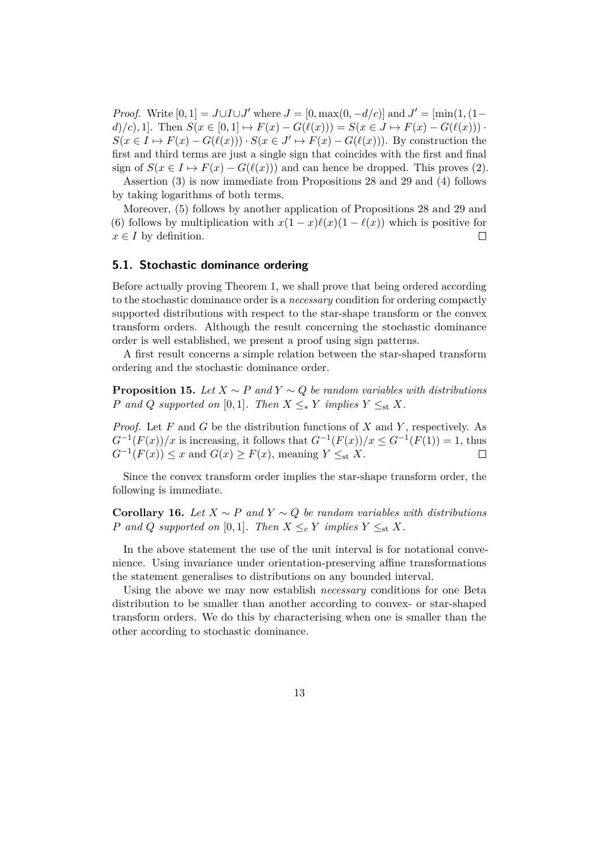*Proof.* Write  $[0, 1] = J \cup I \cup J'$  where  $J = [0, \max(0, -d/c)]$  and  $J' = [\min(1, (1-d/c)]$  $d$ )/*c*), 1]. Then  $S(x \in [0,1] \mapsto F(x) - G(\ell(x))) = S(x \in J \mapsto F(x) - G(\ell(x)))$ .  $S(x \in I \mapsto F(x) - G(\ell(x))) \cdot S(x \in J' \mapsto F(x) - G(\ell(x)))$ . By construction the first and third terms are just a single sign that coincides with the first and final sign of  $S(x \in I \mapsto F(x) - G(\ell(x)))$  and can hence be dropped. This proves [\(2\)](#page-11-0).

Assertion [\(3\)](#page-11-1) is now immediate from Propositions [28](#page-25-0) and [29](#page-25-1) and [\(4\)](#page-11-2) follows by taking logarithms of both terms.

Moreover, [\(5\)](#page-11-3) follows by another application of Propositions [28](#page-25-0) and [29](#page-25-1) and [\(6\)](#page-11-4) follows by multiplication with  $x(1-x)\ell(x)(1-\ell(x))$  which is positive for  $x \in I$  by definition.  $\Box$ 

## **5.1. Stochastic dominance ordering**

Before actually proving Theorem [1,](#page-5-2) we shall prove that being ordered according to the stochastic dominance order is a *necessary* condition for ordering compactly supported distributions with respect to the star-shape transform or the convex transform orders. Although the result concerning the stochastic dominance order is well established, we present a proof using sign patterns.

A first result concerns a simple relation between the star-shaped transform ordering and the stochastic dominance order.

<span id="page-12-0"></span>**Proposition 15.** *Let*  $X \sim P$  *and*  $Y \sim Q$  *be random variables with distributions P* and *Q* supported on [0,1]. Then  $X \leq_{*} Y$  implies  $Y \leq_{st} X$ .

*Proof.* Let *F* and *G* be the distribution functions of *X* and *Y* , respectively. As  $G^{-1}(F(x))/x$  is increasing, it follows that  $G^{-1}(F(x))/x \leq G^{-1}(F(1)) = 1$ , thus  $G^{-1}(F(x)) \leq x$  and  $G(x) \geq F(x)$ , meaning  $Y \leq_{st} X$ .  $\Box$ 

Since the convex transform order implies the star-shape transform order, the following is immediate.

**Corollary 16.** *Let X* ∼ *P and Y* ∼ *Q be random variables with distributions P* and *Q* supported on [0,1]*.* Then  $X \leq_c Y$  implies  $Y \leq_{st} X$ *.* 

In the above statement the use of the unit interval is for notational convenience. Using invariance under orientation-preserving affine transformations the statement generalises to distributions on any bounded interval.

Using the above we may now establish *necessary* conditions for one Beta distribution to be smaller than another according to convex- or star-shaped transform orders. We do this by characterising when one is smaller than the other according to stochastic dominance.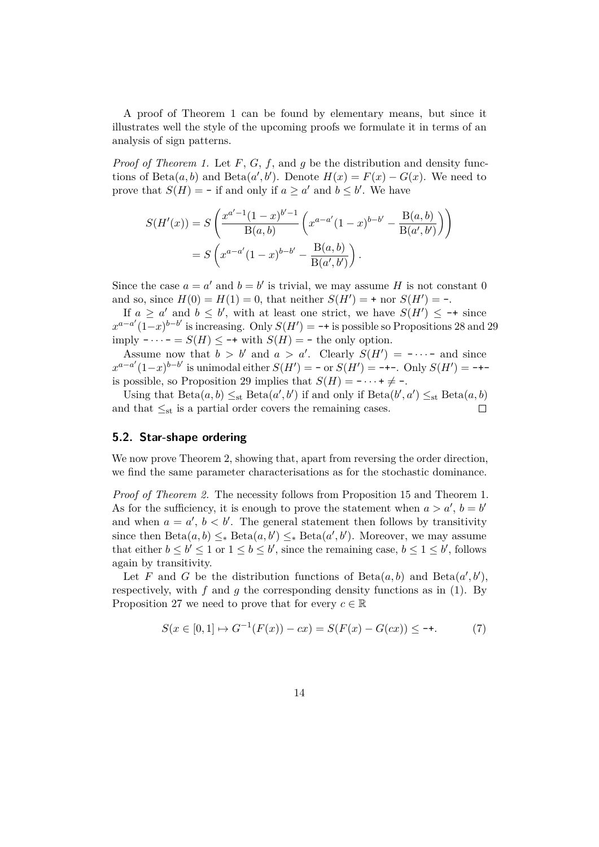A proof of Theorem [1](#page-5-2) can be found by elementary means, but since it illustrates well the style of the upcoming proofs we formulate it in terms of an analysis of sign patterns.

*Proof of Theorem [1.](#page-5-2)* Let *F*, *G*, *f*, and *g* be the distribution and density functions of Beta $(a, b)$  and Beta $(a', b')$ . Denote  $H(x) = F(x) - G(x)$ . We need to prove that  $S(H) = -$  if and only if  $a \ge a'$  and  $b \le b'$ . We have

$$
S(H'(x)) = S\left(\frac{x^{a'-1}(1-x)^{b'-1}}{B(a,b)}\left(x^{a-a'}(1-x)^{b-b'} - \frac{B(a,b)}{B(a',b')}\right)\right)
$$

$$
= S\left(x^{a-a'}(1-x)^{b-b'} - \frac{B(a,b)}{B(a',b')}\right).
$$

Since the case  $a = a'$  and  $b = b'$  is trivial, we may assume *H* is not constant 0 and so, since  $H(0) = H(1) = 0$ , that neither  $S(H') = +$  nor  $S(H') = -$ .

If  $a \ge a'$  and  $b \le b'$ , with at least one strict, we have  $S(H') \le -\dagger$  since  $x^{a-a'}(1-x)^{b-b'}$  is increasing. Only  $S(H') = -+$  is possible so Propositions [28](#page-25-0) and [29](#page-25-1) imply  $-\cdots = S(H) \leq -\mathbf{t}$  with  $S(H) = -\mathbf{t}$  he only option.

Assume now that  $b > b'$  and  $a > a'$ . Clearly  $S(H') = - \cdots -$  and since  $x^{a-a'}(1-x)^{b-b'}$  is unimodal either  $S(H') = -$  or  $S(H') = -$ +-. Only  $S(H') = -$ +-is possible, so Proposition [29](#page-25-1) implies that  $S(H) = - \cdots + \neq -$ .

Using that  $Beta(a, b) \leq_{st} Beta(a', b')$  if and only if  $Beta(b', a') \leq_{st} Beta(a, b)$ and that  $\leq_{st}$  is a partial order covers the remaining cases.  $\Box$ 

### **5.2. Star-shape ordering**

We now prove Theorem [2,](#page-5-1) showing that, apart from reversing the order direction, we find the same parameter characterisations as for the stochastic dominance.

*Proof of Theorem [2.](#page-5-1)* The necessity follows from Proposition [15](#page-12-0) and Theorem [1.](#page-5-2) As for the sufficiency, it is enough to prove the statement when  $a > a'$ ,  $b = b'$ and when  $a = a'$ ,  $b < b'$ . The general statement then follows by transitivity since then  $Beta(a, b) \leq_* Beta(a, b') \leq_* Beta(a', b')$ . Moreover, we may assume that either  $b \leq b' \leq 1$  or  $1 \leq b \leq b'$ , since the remaining case,  $b \leq 1 \leq b'$ , follows again by transitivity.

Let *F* and *G* be the distribution functions of  $Beta(a, b)$  and  $Beta(a', b')$ , respectively, with  $f$  and  $g$  the corresponding density functions as in  $(1)$ . By Proposition [27](#page-25-2) we need to prove that for every  $c \in \mathbb{R}$ 

<span id="page-13-0"></span>
$$
S(x \in [0,1] \mapsto G^{-1}(F(x)) - cx) = S(F(x) - G(cx)) \le -\tag{7}
$$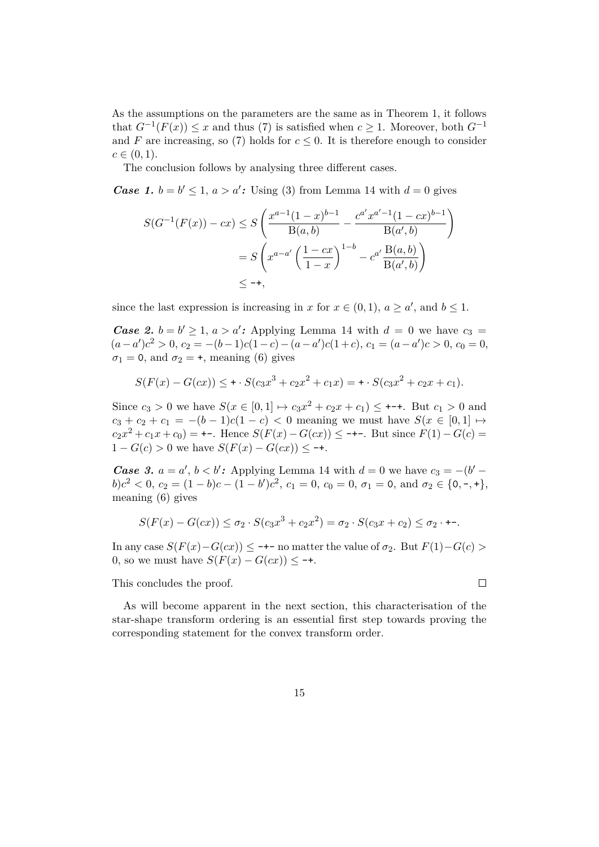As the assumptions on the parameters are the same as in Theorem [1,](#page-5-2) it follows that  $G^{-1}(F(x))$  ≤ *x* and thus [\(7\)](#page-13-0) is satisfied when  $c ≥ 1$ . Moreover, both  $G^{-1}$ and *F* are increasing, so [\(7\)](#page-13-0) holds for  $c \leq 0$ . It is therefore enough to consider  $c \in (0, 1)$ .

The conclusion follows by analysing three different cases.

*Case 1.*  $b = b' \leq 1, a > a'$ : Using [\(3\)](#page-11-1) from Lemma [14](#page-11-5) with  $d = 0$  gives

$$
S(G^{-1}(F(x)) - cx) \le S\left(\frac{x^{a-1}(1-x)^{b-1}}{B(a,b)} - \frac{c^{a'}x^{a'-1}(1-cx)^{b-1}}{B(a',b)}\right)
$$
  
=  $S\left(x^{a-a'}\left(\frac{1-cx}{1-x}\right)^{1-b} - c^{a'}\frac{B(a,b)}{B(a',b)}\right)$   
 $\le -+,$ 

since the last expression is increasing in *x* for  $x \in (0,1)$ ,  $a \ge a'$ , and  $b \le 1$ .

*Case 2.*  $b = b' \ge 1, a > a'$ : Applying Lemma [14](#page-11-5) with  $d = 0$  we have  $c_3 =$  $(a - a')c^2 > 0, c_2 = -(b-1)c(1-c) - (a - a')c(1+c), c_1 = (a - a')c > 0, c_0 = 0,$  $\sigma_1 = 0$ , and  $\sigma_2 = +$ , meaning [\(6\)](#page-11-4) gives

$$
S(F(x) - G(cx)) \leq \cdots S(c_3x^3 + c_2x^2 + c_1x) = \cdots S(c_3x^2 + c_2x + c_1).
$$

Since  $c_3 > 0$  we have  $S(x \in [0,1] \mapsto c_3 x^2 + c_2 x + c_1) \leq \cdots$ . But  $c_1 > 0$  and *c*<sub>3</sub> + *c*<sub>2</sub> + *c*<sub>1</sub> = −(*b* − 1)*c*(1 − *c*) < 0 meaning we must have *S*(*x* ∈ [0,1] →  $c_2x^2 + c_1x + c_0$  = +-. Hence  $S(F(x) - G(cx)) \leq$  -+-. But since  $F(1) - G(c)$  =  $1 - G(c) > 0$  we have  $S(F(x) - G(cx)) < -+$ .

*Case 3.*  $a = a'$ ,  $b < b'$ : Applying Lemma [14](#page-11-5) with  $d = 0$  we have  $c_3 = -(b' - b')$  $b$ ) $c^2$  < 0,  $c_2 = (1 - b)c - (1 - b')c^2$ ,  $c_1 = 0$ ,  $c_0 = 0$ ,  $\sigma_1 = 0$ , and  $\sigma_2 \in \{0, -, +\},$ meaning [\(6\)](#page-11-4) gives

$$
S(F(x) - G(cx)) \le \sigma_2 \cdot S(c_3x^3 + c_2x^2) = \sigma_2 \cdot S(c_3x + c_2) \le \sigma_2 \cdot \dots
$$

In any case *S*(*F*(*x*)−*G*(*cx*)) ≤ -+- no matter the value of *σ*2. But *F*(1)−*G*(*c*) *>* 0, so we must have  $S(F(x) - G(cx)) \leq -+$ .

 $\Box$ 

This concludes the proof.

As will become apparent in the next section, this characterisation of the star-shape transform ordering is an essential first step towards proving the corresponding statement for the convex transform order.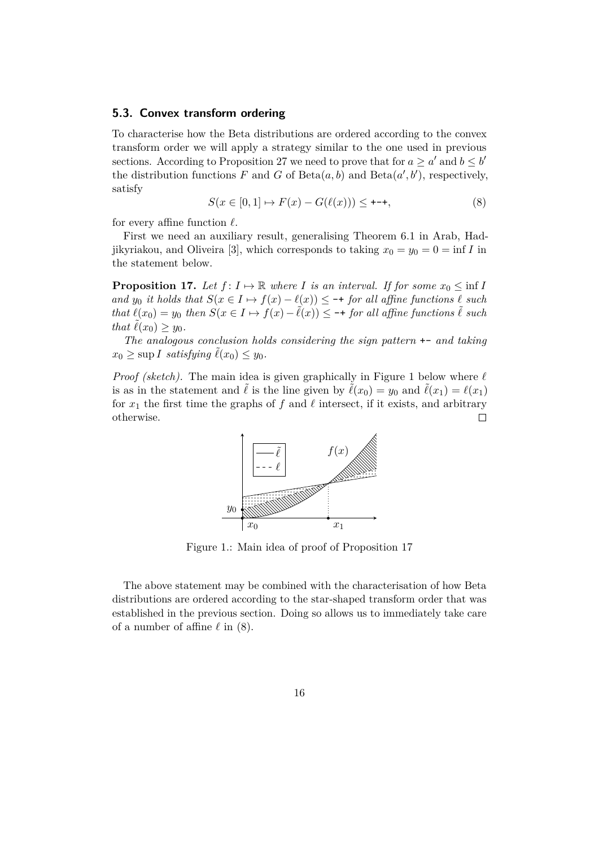### **5.3. Convex transform ordering**

To characterise how the Beta distributions are ordered according to the convex transform order we will apply a strategy similar to the one used in previous sections. According to Proposition [27](#page-25-2) we need to prove that for  $a \ge a'$  and  $b \le b'$ the distribution functions  $F$  and  $G$  of  $Beta(a, b)$  and  $Beta(a', b')$ , respectively, satisfy

<span id="page-15-1"></span>
$$
S(x \in [0,1] \to F(x) - G(\ell(x))) \leq \text{---}, \tag{8}
$$

for every affine function  $\ell$ .

First we need an auxiliary result, generalising Theorem 6.1 in Arab, Had-jikyriakou, and Oliveira [\[3\]](#page-21-6), which corresponds to taking  $x_0 = y_0 = 0 = \inf I$  in the statement below.

<span id="page-15-2"></span>**Proposition 17.** Let  $f: I \mapsto \mathbb{R}$  where *I* is an interval. If for some  $x_0 \leq \inf I$ *and y*<sub>0</sub> *it holds that*  $S(x \in I \mapsto f(x) - \ell(x)) \leq -\frac{1}{\ell}$  *for all affine functions*  $\ell$  *such that*  $\ell(x_0) = y_0$  *then*  $S(x \in I \mapsto f(x) - \tilde{\ell}(x)) \leq -\frac{1}{\ell}$  *for all affine functions*  $\tilde{\ell}$  *such that*  $\tilde{\ell}(x_0) \geq y_0$ *.* 

*The analogous conclusion holds considering the sign pattern* +- *and taking*  $x_0 \geq \sup I$  *satisfying*  $\ell(x_0) \leq y_0$ *.* 

<span id="page-15-0"></span>*Proof (sketch)*. The main idea is given graphically in Figure [1](#page-15-0) below where  $\ell$ is as in the statement and  $\tilde{\ell}$  is the line given by  $\tilde{\ell}(x_0) = y_0$  and  $\tilde{\ell}(x_1) = \ell(x_1)$ for  $x_1$  the first time the graphs of  $f$  and  $\ell$  intersect, if it exists, and arbitrary otherwise.  $\Box$ 



Figure 1.: Main idea of proof of Proposition 17

The above statement may be combined with the characterisation of how Beta distributions are ordered according to the star-shaped transform order that was established in the previous section. Doing so allows us to immediately take care of a number of affine  $\ell$  in [\(8\)](#page-15-1).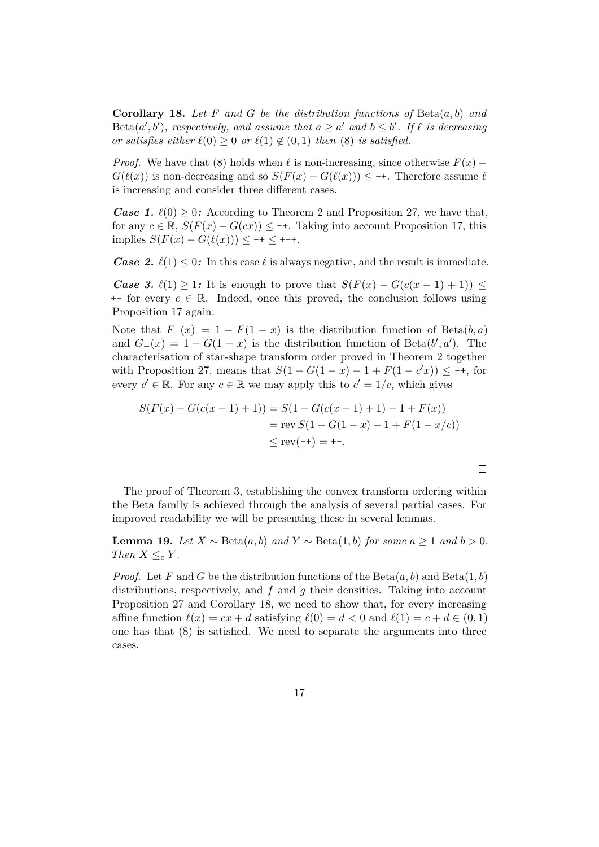<span id="page-16-0"></span>**Corollary 18.** *Let F and G be the distribution functions of* Beta(*a, b*) *and*  $Beta(a', b')$ , respectively, and assume that  $a \ge a'$  and  $b \le b'$ . If  $\ell$  is decreasing *or satisfies either*  $\ell(0) \geq 0$  *or*  $\ell(1) \notin (0,1)$  *then* [\(8\)](#page-15-1) *is satisfied.* 

*Proof.* We have that [\(8\)](#page-15-1) holds when  $\ell$  is non-increasing, since otherwise  $F(x)$  −  $G(\ell(x))$  is non-decreasing and so  $S(F(x) - G(\ell(x))) \leq \text{--}$ . Therefore assume  $\ell$ is increasing and consider three different cases.

*Case 1.*  $\ell(0) \geq 0$ : According to Theorem [2](#page-5-1) and Proposition [27,](#page-25-2) we have that, for any  $c \in \mathbb{R}$ ,  $S(F(x) - G(cx)) \leq -1$ . Taking into account Proposition [17,](#page-15-2) this  $\text{implies } S(F(x) - G(\ell(x))) \leq -\frac{1}{2} + \frac{1}{2} + \frac{1}{2}$ 

*Case 2.*  $\ell(1) \leq 0$ : In this case  $\ell$  is always negative, and the result is immediate.

*Case 3.*  $\ell(1) \geq 1$ *:* It is enough to prove that  $S(F(x) - G(c(x-1)+1)) \leq$  $\pm$ - for every  $c \in \mathbb{R}$ . Indeed, once this proved, the conclusion follows using Proposition [17](#page-15-2) again.

Note that  $F_-(x) = 1 - F(1-x)$  is the distribution function of Beta(b, a) and  $G_-(x) = 1 - G(1-x)$  is the distribution function of Beta( $b', a'$ ). The characterisation of star-shape transform order proved in Theorem [2](#page-5-1) together with Proposition [27,](#page-25-2) means that  $S(1 - G(1 - x) - 1 + F(1 - c'x)) \leq -1$ , for every  $c' \in \mathbb{R}$ . For any  $c \in \mathbb{R}$  we may apply this to  $c' = 1/c$ , which gives

$$
S(F(x) - G(c(x-1) + 1)) = S(1 - G(c(x-1) + 1) - 1 + F(x))
$$
  
= rev S(1 - G(1 - x) - 1 + F(1 - x/c))  

$$
\leq rev(-+) = +-.
$$

The proof of Theorem [3,](#page-6-1) establishing the convex transform ordering within the Beta family is achieved through the analysis of several partial cases. For improved readability we will be presenting these in several lemmas.

 $\Box$ 

<span id="page-16-1"></span>**Lemma 19.** *Let*  $X \sim \text{Beta}(a, b)$  *and*  $Y \sim \text{Beta}(1, b)$  *for some*  $a \ge 1$  *and*  $b > 0$ *. Then*  $X \leq_c Y$ *.* 

*Proof.* Let *F* and *G* be the distribution functions of the  $Beta(a, b)$  and  $Beta(1, b)$ distributions, respectively, and *f* and *g* their densities. Taking into account Proposition [27](#page-25-2) and Corollary [18,](#page-16-0) we need to show that, for every increasing affine function  $\ell(x) = cx + d$  satisfying  $\ell(0) = d < 0$  and  $\ell(1) = c + d \in (0, 1)$ one has that [\(8\)](#page-15-1) is satisfied. We need to separate the arguments into three cases.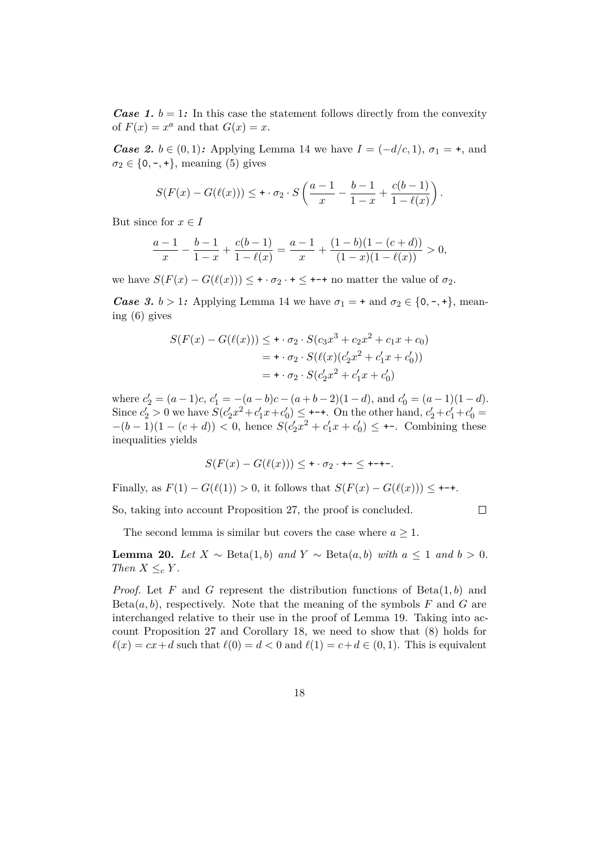*Case 1.*  $b = 1$ : In this case the statement follows directly from the convexity of  $F(x) = x^a$  and that  $G(x) = x$ .

*Case 2. b* ∈ (0, 1)*:* Applying Lemma [14](#page-11-5) we have  $I = (-d/c, 1)$ ,  $\sigma_1 = +$ , and  $\sigma_2 \in \{0, -, +\},$  meaning [\(5\)](#page-11-3) gives

$$
S(F(x) - G(\ell(x))) \leq \tau \cdot \sigma_2 \cdot S\left(\frac{a-1}{x} - \frac{b-1}{1-x} + \frac{c(b-1)}{1-\ell(x)}\right).
$$

But since for  $x \in I$ 

$$
\frac{a-1}{x} - \frac{b-1}{1-x} + \frac{c(b-1)}{1-\ell(x)} = \frac{a-1}{x} + \frac{(1-b)(1-(c+d))}{(1-x)(1-\ell(x))} > 0,
$$

we have  $S(F(x) - G(\ell(x))) < + \cdot \sigma_2 \cdot + \cdot +$  no matter the value of  $\sigma_2$ .

*Case 3.*  $b > 1$ : Applying Lemma [14](#page-11-5) we have  $\sigma_1 = +$  and  $\sigma_2 \in \{0, -, +\}$ , meaning [\(6\)](#page-11-4) gives

$$
S(F(x) - G(\ell(x))) \leq \mathbf{+} \cdot \sigma_2 \cdot S(c_3 x^3 + c_2 x^2 + c_1 x + c_0)
$$
  
= 
$$
\mathbf{+} \cdot \sigma_2 \cdot S(\ell(x)(c'_2 x^2 + c'_1 x + c'_0))
$$
  
= 
$$
\mathbf{+} \cdot \sigma_2 \cdot S(c'_2 x^2 + c'_1 x + c'_0)
$$

where  $c'_2 = (a-1)c, c'_1 = -(a-b)c - (a+b-2)(1-d)$ , and  $c'_0 = (a-1)(1-d)$ . Since  $c'_2 > 0$  we have  $S(c'_2x^2 + c'_1x + c'_0) \leq$  +-+. On the other hand,  $c'_2 + c'_1 + c'_0 =$  $-(b-1)(1-(c+d)) < 0$ , hence  $S(c'_2x^2+c'_1x+c'_0) \leq +$ . Combining these inequalities yields

$$
S(F(x) - G(\ell(x))) \leq \cdots \sigma_2 \cdot \cdots \leq \cdots
$$

Finally, as  $F(1) - G(\ell(1)) > 0$ , it follows that  $S(F(x) - G(\ell(x))) \leq \ell$ 

So, taking into account Proposition [27,](#page-25-2) the proof is concluded.

 $\Box$ 

The second lemma is similar but covers the case where  $a \geq 1$ .

<span id="page-17-0"></span>**Lemma 20.** *Let*  $X \sim \text{Beta}(1, b)$  *and*  $Y \sim \text{Beta}(a, b)$  *with*  $a \leq 1$  *and*  $b > 0$ *. Then*  $X \leq_c Y$ *.* 

*Proof.* Let *F* and *G* represent the distribution functions of Beta(1*, b*) and  $Beta(a, b)$ , respectively. Note that the meaning of the symbols  $F$  and  $G$  are interchanged relative to their use in the proof of Lemma [19.](#page-16-1) Taking into account Proposition [27](#page-25-2) and Corollary [18,](#page-16-0) we need to show that [\(8\)](#page-15-1) holds for  $\ell(x) = cx + d$  such that  $\ell(0) = d < 0$  and  $\ell(1) = c + d \in (0, 1)$ . This is equivalent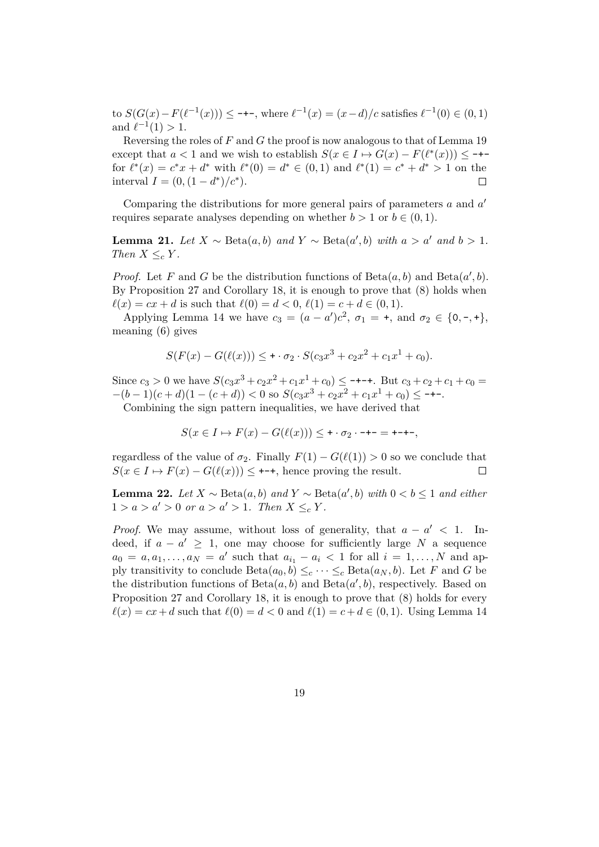to  $S(G(x) - F(\ell^{-1}(x)))$  ≤ −+−, where  $\ell^{-1}(x) = (x - d)/c$  satisfies  $\ell^{-1}(0) \in (0, 1)$ and  $\ell^{-1}(1) > 1$ .

Reversing the roles of *F* and *G* the proof is now analogous to that of Lemma [19](#page-16-1) except that  $a < 1$  and we wish to establish  $S(x \in I \mapsto G(x) - F(\ell^*(x))) \leq \text{---}$ for  $\ell^*(x) = c^*x + d^*$  with  $\ell^*(0) = d^* \in (0,1)$  and  $\ell^*(1) = c^* + d^* > 1$  on the interval  $I = (0, (1 - d^*)/c^*)$ .  $\Box$ 

Comparing the distributions for more general pairs of parameters *a* and *a* 0 requires separate analyses depending on whether  $b > 1$  or  $b \in (0, 1)$ .

<span id="page-18-0"></span>**Lemma 21.** *Let*  $X \sim \text{Beta}(a, b)$  *and*  $Y \sim \text{Beta}(a', b)$  *with*  $a > a'$  *and*  $b > 1$ *. Then*  $X \leq_c Y$ *.* 

*Proof.* Let *F* and *G* be the distribution functions of  $Beta(a, b)$  and  $Beta(a', b)$ . By Proposition [27](#page-25-2) and Corollary [18,](#page-16-0) it is enough to prove that [\(8\)](#page-15-1) holds when  $\ell(x) = cx + d$  is such that  $\ell(0) = d < 0$ ,  $\ell(1) = c + d \in (0, 1)$ .

Applying Lemma [14](#page-11-5) we have  $c_3 = (a - a')c^2$ ,  $\sigma_1 = +$ , and  $\sigma_2 \in \{0, -, +\},$ meaning [\(6\)](#page-11-4) gives

$$
S(F(x) - G(\ell(x))) \leq \cdots \sigma_2 \cdot S(c_3x^3 + c_2x^2 + c_1x^1 + c_0).
$$

Since  $c_3 > 0$  we have  $S(c_3x^3 + c_2x^2 + c_1x^1 + c_0) \leq$  -+-+. But  $c_3 + c_2 + c_1 + c_0 =$  $-(b-1)(c+d)(1-(c+d)) < 0$  so  $S(c_3x^3 + c_2x^2 + c_1x^1 + c_0) \leq$  -+-.

Combining the sign pattern inequalities, we have derived that

$$
S(x \in I \mapsto F(x) - G(\ell(x))) \leq \cdots -\infty - \cdots = \cdots -
$$

regardless of the value of  $\sigma_2$ . Finally  $F(1) - G(\ell(1)) > 0$  so we conclude that  $S(x \in I \mapsto F(x) - G(\ell(x))) \leq$  +-+, hence proving the result.  $\Box$ 

<span id="page-18-1"></span>**Lemma 22.** *Let*  $X \sim \text{Beta}(a, b)$  *and*  $Y \sim \text{Beta}(a', b)$  *with*  $0 < b \le 1$  *and either*  $1 > a > a' > 0$  or  $a > a' > 1$ . Then  $X \leq_{c} Y$ .

*Proof.* We may assume, without loss of generality, that  $a - a' < 1$ . Indeed, if  $a - a' \geq 1$ , one may choose for sufficiently large *N* a sequence  $a_0 = a, a_1, \ldots, a_N = a'$  such that  $a_{i_1} - a_i < 1$  for all  $i = 1, \ldots, N$  and apply transitivity to conclude  $Beta(a_0, b) \leq_c \cdots \leq_c Beta(a_N, b)$ . Let *F* and *G* be the distribution functions of  $Beta(a, b)$  and  $Beta(a', b)$ , respectively. Based on Proposition [27](#page-25-2) and Corollary [18,](#page-16-0) it is enough to prove that [\(8\)](#page-15-1) holds for every  $\ell(x) = cx + d$  such that  $\ell(0) = d < 0$  and  $\ell(1) = c + d \in (0, 1)$ . Using Lemma [14](#page-11-5)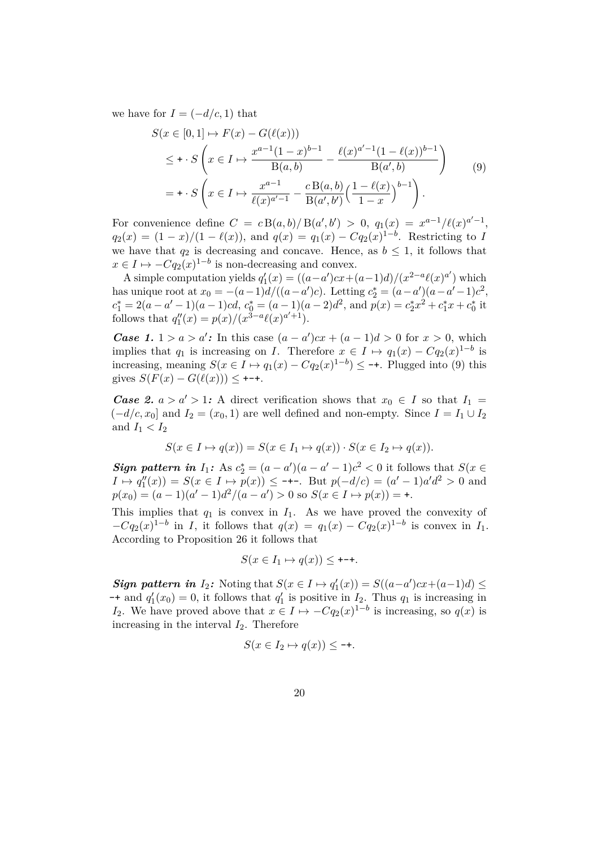<span id="page-19-0"></span>we have for  $I = (-d/c, 1)$  that

$$
S(x \in [0, 1] \mapsto F(x) - G(\ell(x)))
$$
  
\n
$$
\leq \int x \in I \mapsto \frac{x^{a-1}(1-x)^{b-1}}{B(a, b)} - \frac{\ell(x)^{a'-1}(1-\ell(x))^{b-1}}{B(a', b)}
$$
  
\n
$$
= \int x \in I \mapsto \frac{x^{a-1}}{\ell(x)^{a'-1}} - \frac{cB(a, b)}{B(a', b')} \left(\frac{1-\ell(x)}{1-x}\right)^{b-1}.
$$
 (9)

For convenience define  $C = c B(a, b) / B(a', b') > 0$ ,  $q_1(x) = x^{a-1} / \ell(x)^{a'-1}$ ,  $q_2(x) = (1-x)/(1-\ell(x))$ , and  $q(x) = q_1(x) - Cq_2(x)^{1-b}$ . Restricting to *I* we have that  $q_2$  is decreasing and concave. Hence, as  $b \leq 1$ , it follows that  $x \in I \mapsto -Cq_2(x)^{1-b}$  is non-decreasing and convex.

A simple computation yields  $q'_1(x) = ((a-a')cx+(a-1)d)/(x^{2-a}\ell(x)^{a'})$  which has unique root at  $x_0 = -(a-1)d/((a-a')c)$ . Letting  $c_2^* = (a-a')(a-a'-1)c^2$ ,  $c_1^* = 2(a - a' - 1)(a - 1)cd$ ,  $c_0^* = (a - 1)(a - 2)d^2$ , and  $p(x) = c_2^*x^2 + c_1^*x + c_0^*$  it follows that  $q_1''(x) = p(x)/(x^{3-a}\ell(x)^{a'+1}).$ 

*Case 1.*  $1 > a > a'$ : In this case  $(a - a')cx + (a - 1)d > 0$  for  $x > 0$ , which implies that  $q_1$  is increasing on *I*. Therefore  $x \in I \mapsto q_1(x) - Cq_2(x)^{1-b}$  is increasing, meaning  $S(x \in I \mapsto q_1(x) - Cq_2(x)^{1-b}) \leq$  -+. Plugged into [\(9\)](#page-19-0) this gives  $S(F(x) - G(\ell(x))) \leq$  +-+.

*Case 2.*  $a > a' > 1$ : A direct verification shows that  $x_0 \in I$  so that  $I_1 =$  $(-d/c, x_0]$  and  $I_2 = (x_0, 1)$  are well defined and non-empty. Since  $I = I_1 \cup I_2$ and  $I_1 < I_2$ 

$$
S(x \in I \mapsto q(x)) = S(x \in I_1 \mapsto q(x)) \cdot S(x \in I_2 \mapsto q(x)).
$$

*Sign pattern in*  $I_1$ : As  $c_2^* = (a - a')(a - a' - 1)c^2 < 0$  it follows that  $S(x \in$ *I* →  $q''_1(x)$ ) = *S*(*x* ∈ *I* → *p*(*x*)) ≤ -+-. But *p*(-*d*/*c*) = (*a*' − 1)*a*' $d^2$  > 0 and  $p(x_0) = (a-1)(a'-1)d^2/(a-a') > 0$  so  $S(x \in I \mapsto p(x)) = +$ .

This implies that  $q_1$  is convex in  $I_1$ . As we have proved the convexity of  $-Cq_2(x)^{1-b}$  in *I*, it follows that  $q(x) = q_1(x) - Cq_2(x)^{1-b}$  is convex in *I*<sub>1</sub>. According to Proposition [26](#page-25-3) it follows that

$$
S(x \in I_1 \mapsto q(x)) \leq \text{---}.
$$

*Sign pattern in*  $I_2$ : Noting that  $S(x \in I \mapsto q'_1(x)) = S((a-a')cx + (a-1)d) \le$  $-$  and  $q'_1(x_0) = 0$ , it follows that  $q'_1$  is positive in  $I_2$ . Thus  $q_1$  is increasing in *I*<sub>2</sub>. We have proved above that  $x \in I \mapsto -Cq_2(x)^{1-b}$  is increasing, so  $q(x)$  is increasing in the interval *I*2. Therefore

$$
S(x \in I_2 \mapsto q(x)) \le -+
$$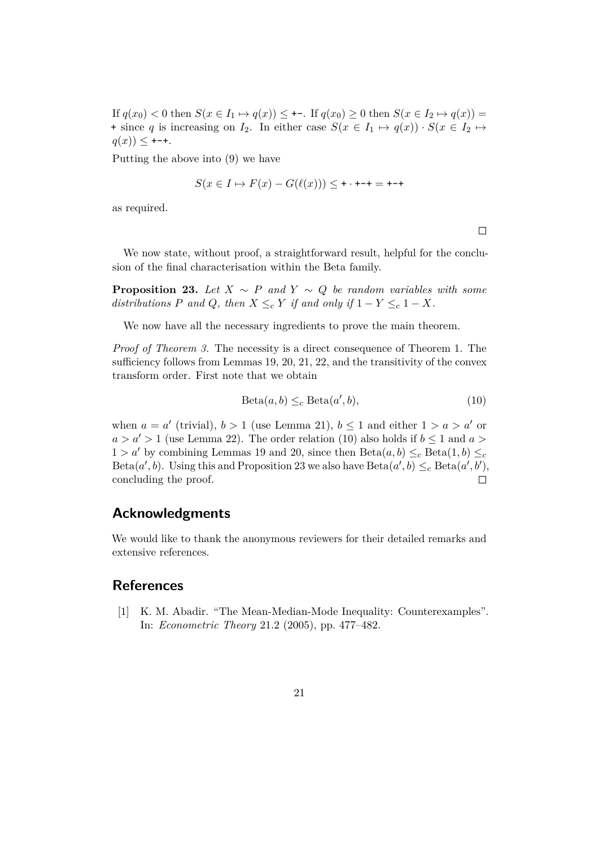If  $q(x_0) < 0$  then  $S(x \in I_1 \mapsto q(x)) \leq \infty$ . If  $q(x_0) \geq 0$  then  $S(x \in I_2 \mapsto q(x)) =$ + since *q* is increasing on *I*<sub>2</sub>. In either case  $S(x \in I_1 \mapsto q(x)) \cdot S(x \in I_2 \mapsto$  $q(x)$ )  $\leq$  +-+.

Putting the above into [\(9\)](#page-19-0) we have

$$
S(x \in I \mapsto F(x) - G(\ell(x))) \leq \cdots + \cdots = \cdots +
$$

as required.

 $\Box$ 

We now state, without proof, a straightforward result, helpful for the conclusion of the final characterisation within the Beta family.

<span id="page-20-2"></span>**Proposition 23.** *Let*  $X \sim P$  *and*  $Y \sim Q$  *be random variables with some distributions P* and *Q,* then  $X \leq_c Y$  if and only if  $1 - Y \leq_c 1 - X$ *.* 

We now have all the necessary ingredients to prove the main theorem.

*Proof of Theorem [3.](#page-6-1)* The necessity is a direct consequence of Theorem [1.](#page-5-2) The sufficiency follows from Lemmas [19,](#page-16-1) [20,](#page-17-0) [21,](#page-18-0) [22,](#page-18-1) and the transitivity of the convex transform order. First note that we obtain

<span id="page-20-1"></span>
$$
Beta(a, b) \leq_c Beta(a', b),
$$
\n(10)

when  $a = a'$  (trivial),  $b > 1$  (use Lemma [21\)](#page-18-0),  $b \le 1$  and either  $1 > a > a'$  or  $a > a' > 1$  (use Lemma [22\)](#page-18-1). The order relation [\(10\)](#page-20-1) also holds if  $b \le 1$  and  $a >$  $1 > a'$  by combining Lemmas [19](#page-16-1) and [20,](#page-17-0) since then  $Beta(a, b) \leq_c Beta(1, b) \leq_c$  $Beta(a', b)$ . Using this and Proposition [23](#page-20-2) we also have  $Beta(a', b) \leq_c Beta(a', b')$ , concluding the proof.  $\Box$ 

# **Acknowledgments**

We would like to thank the anonymous reviewers for their detailed remarks and extensive references.

## **References**

<span id="page-20-0"></span>[1] K. M. Abadir. "The Mean-Median-Mode Inequality: Counterexamples". In: *Econometric Theory* 21.2 (2005), pp. 477–482.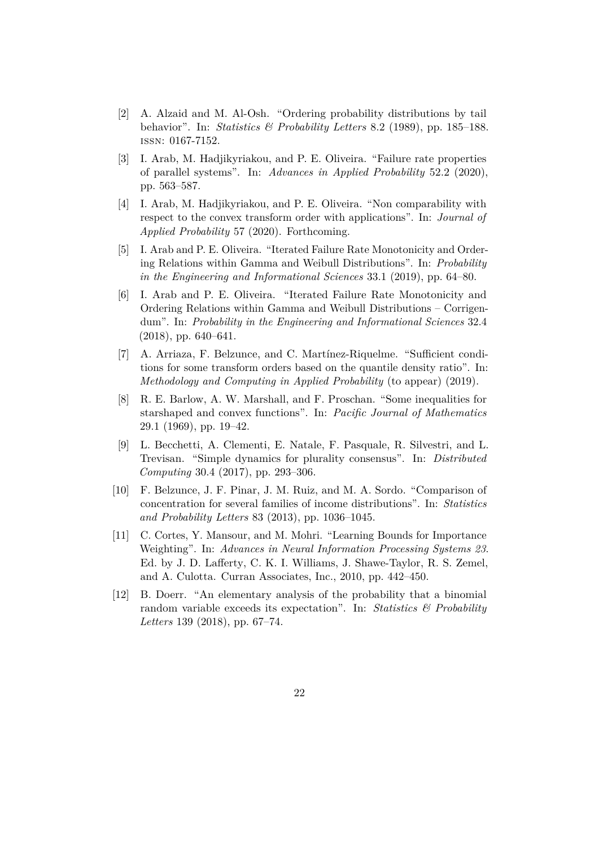- <span id="page-21-3"></span>[2] A. Alzaid and M. Al-Osh. "Ordering probability distributions by tail behavior". In: *Statistics & Probability Letters* 8.2 (1989), pp. 185–188. issn: 0167-7152.
- <span id="page-21-6"></span>[3] I. Arab, M. Hadjikyriakou, and P. E. Oliveira. "Failure rate properties of parallel systems". In: *Advances in Applied Probability* 52.2 (2020), pp. 563–587.
- <span id="page-21-1"></span>[4] I. Arab, M. Hadjikyriakou, and P. E. Oliveira. "Non comparability with respect to the convex transform order with applications". In: *Journal of Applied Probability* 57 (2020). Forthcoming.
- <span id="page-21-4"></span>[5] I. Arab and P. E. Oliveira. "Iterated Failure Rate Monotonicity and Ordering Relations within Gamma and Weibull Distributions". In: *Probability in the Engineering and Informational Sciences* 33.1 (2019), pp. 64–80.
- <span id="page-21-5"></span>[6] I. Arab and P. E. Oliveira. "Iterated Failure Rate Monotonicity and Ordering Relations within Gamma and Weibull Distributions – Corrigendum". In: *Probability in the Engineering and Informational Sciences* 32.4 (2018), pp. 640–641.
- <span id="page-21-2"></span>[7] A. Arriaza, F. Belzunce, and C. Martínez-Riquelme. "Sufficient conditions for some transform orders based on the quantile density ratio". In: *Methodology and Computing in Applied Probability* (to appear) (2019).
- <span id="page-21-10"></span>[8] R. E. Barlow, A. W. Marshall, and F. Proschan. "Some inequalities for starshaped and convex functions". In: *Pacific Journal of Mathematics* 29.1 (1969), pp. 19–42.
- <span id="page-21-7"></span>[9] L. Becchetti, A. Clementi, E. Natale, F. Pasquale, R. Silvestri, and L. Trevisan. "Simple dynamics for plurality consensus". In: *Distributed Computing* 30.4 (2017), pp. 293–306.
- <span id="page-21-0"></span>[10] F. Belzunce, J. F. Pinar, J. M. Ruiz, and M. A. Sordo. "Comparison of concentration for several families of income distributions". In: *Statistics and Probability Letters* 83 (2013), pp. 1036–1045.
- <span id="page-21-9"></span>[11] C. Cortes, Y. Mansour, and M. Mohri. "Learning Bounds for Importance Weighting". In: *Advances in Neural Information Processing Systems 23*. Ed. by J. D. Lafferty, C. K. I. Williams, J. Shawe-Taylor, R. S. Zemel, and A. Culotta. Curran Associates, Inc., 2010, pp. 442–450.
- <span id="page-21-8"></span>[12] B. Doerr. "An elementary analysis of the probability that a binomial random variable exceeds its expectation". In: *Statistics & Probability Letters* 139 (2018), pp. 67–74.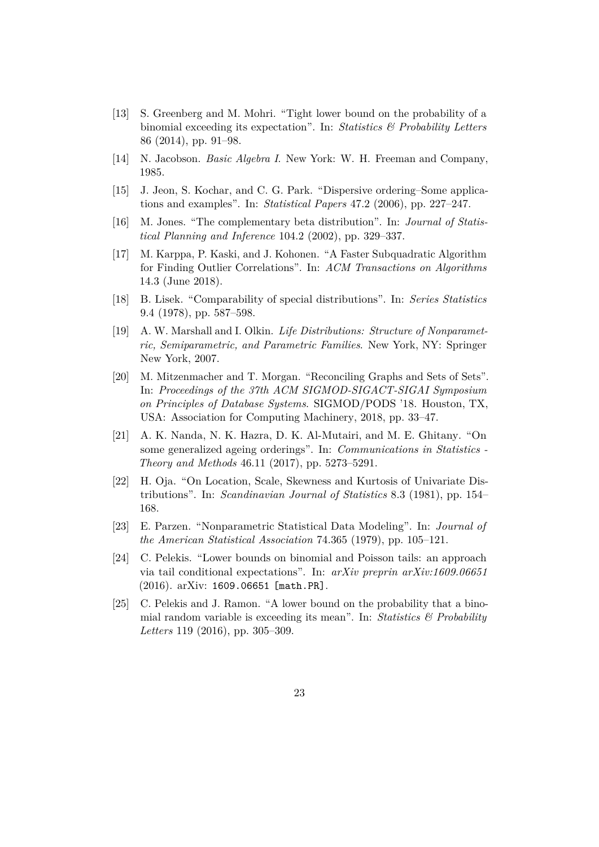- <span id="page-22-6"></span>[13] S. Greenberg and M. Mohri. "Tight lower bound on the probability of a binomial exceeding its expectation". In: *Statistics & Probability Letters* 86 (2014), pp. 91–98.
- <span id="page-22-12"></span>[14] N. Jacobson. *Basic Algebra I*. New York: W. H. Freeman and Company, 1985.
- <span id="page-22-10"></span>[15] J. Jeon, S. Kochar, and C. G. Park. "Dispersive ordering–Some applications and examples". In: *Statistical Papers* 47.2 (2006), pp. 227–247.
- <span id="page-22-11"></span>[16] M. Jones. "The complementary beta distribution". In: *Journal of Statistical Planning and Inference* 104.2 (2002), pp. 329–337.
- <span id="page-22-4"></span>[17] M. Karppa, P. Kaski, and J. Kohonen. "A Faster Subquadratic Algorithm for Finding Outlier Correlations". In: *ACM Transactions on Algorithms* 14.3 (June 2018).
- <span id="page-22-9"></span>[18] B. Lisek. "Comparability of special distributions". In: *Series Statistics* 9.4 (1978), pp. 587–598.
- <span id="page-22-0"></span>[19] A. W. Marshall and I. Olkin. *Life Distributions: Structure of Nonparametric, Semiparametric, and Parametric Families*. New York, NY: Springer New York, 2007.
- <span id="page-22-5"></span>[20] M. Mitzenmacher and T. Morgan. "Reconciling Graphs and Sets of Sets". In: *Proceedings of the 37th ACM SIGMOD-SIGACT-SIGAI Symposium on Principles of Database Systems*. SIGMOD/PODS '18. Houston, TX, USA: Association for Computing Machinery, 2018, pp. 33–47.
- <span id="page-22-2"></span>[21] A. K. Nanda, N. K. Hazra, D. K. Al-Mutairi, and M. E. Ghitany. "On some generalized ageing orderings". In: *Communications in Statistics - Theory and Methods* 46.11 (2017), pp. 5273–5291.
- <span id="page-22-1"></span>[22] H. Oja. "On Location, Scale, Skewness and Kurtosis of Univariate Distributions". In: *Scandinavian Journal of Statistics* 8.3 (1981), pp. 154– 168.
- <span id="page-22-3"></span>[23] E. Parzen. "Nonparametric Statistical Data Modeling". In: *Journal of the American Statistical Association* 74.365 (1979), pp. 105–121.
- <span id="page-22-8"></span>[24] C. Pelekis. "Lower bounds on binomial and Poisson tails: an approach via tail conditional expectations". In: *arXiv preprin arXiv:1609.06651* (2016). arXiv: [1609.06651 \[math.PR\]](https://arxiv.org/abs/1609.06651).
- <span id="page-22-7"></span>[25] C. Pelekis and J. Ramon. "A lower bound on the probability that a binomial random variable is exceeding its mean". In: *Statistics & Probability Letters* 119 (2016), pp. 305–309.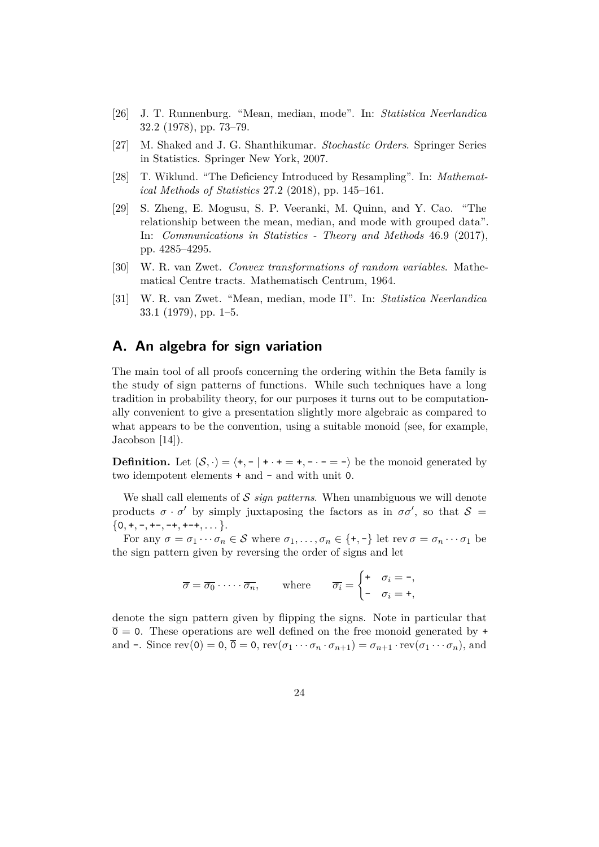- <span id="page-23-6"></span>[26] J. T. Runnenburg. "Mean, median, mode". In: *Statistica Neerlandica* 32.2 (1978), pp. 73–79.
- <span id="page-23-0"></span>[27] M. Shaked and J. G. Shanthikumar. *Stochastic Orders*. Springer Series in Statistics. Springer New York, 2007.
- <span id="page-23-2"></span>[28] T. Wiklund. "The Deficiency Introduced by Resampling". In: *Mathematical Methods of Statistics* 27.2 (2018), pp. 145–161.
- <span id="page-23-4"></span>[29] S. Zheng, E. Mogusu, S. P. Veeranki, M. Quinn, and Y. Cao. "The relationship between the mean, median, and mode with grouped data". In: *Communications in Statistics - Theory and Methods* 46.9 (2017), pp. 4285–4295.
- <span id="page-23-1"></span>[30] W. R. van Zwet. *Convex transformations of random variables*. Mathematical Centre tracts. Mathematisch Centrum, 1964.
- <span id="page-23-3"></span>[31] W. R. van Zwet. "Mean, median, mode II". In: *Statistica Neerlandica* 33.1 (1979), pp. 1–5.

# <span id="page-23-5"></span>**A. An algebra for sign variation**

The main tool of all proofs concerning the ordering within the Beta family is the study of sign patterns of functions. While such techniques have a long tradition in probability theory, for our purposes it turns out to be computationally convenient to give a presentation slightly more algebraic as compared to what appears to be the convention, using a suitable monoid (see, for example, Jacobson [\[14\]](#page-22-12)).

**Definition.** Let  $(S, \cdot) = \langle +,-| + \cdot + = +,- \cdot - = -\rangle$  be the monoid generated by two idempotent elements  $+$  and  $-$  and with unit 0.

We shall call elements of S *sign patterns*. When unambiguous we will denote products  $\sigma \cdot \sigma'$  by simply juxtaposing the factors as in  $\sigma \sigma'$ , so that  $\mathcal{S} =$  $\{0, +, -, +-, -+, +-+, \dots\}$ .

For any  $\sigma = \sigma_1 \cdots \sigma_n \in \mathcal{S}$  where  $\sigma_1, \ldots, \sigma_n \in \{+, -\}$  let rev  $\sigma = \sigma_n \cdots \sigma_1$  be the sign pattern given by reversing the order of signs and let

$$
\overline{\sigma} = \overline{\sigma_0} \cdot \cdots \cdot \overline{\sigma_n}, \quad \text{where} \quad \overline{\sigma_i} = \begin{cases} + & \sigma_i = -, \\ - & \sigma_i = +, \end{cases}
$$

denote the sign pattern given by flipping the signs. Note in particular that  $\overline{0} = 0$ . These operations are well defined on the free monoid generated by  $\overline{0}$ and -. Since rev(0) = 0,  $\overline{0} = 0$ , rev( $\sigma_1 \cdots \sigma_n \cdot \sigma_{n+1}$ ) =  $\sigma_{n+1} \cdot \text{rev}(\sigma_1 \cdots \sigma_n)$ , and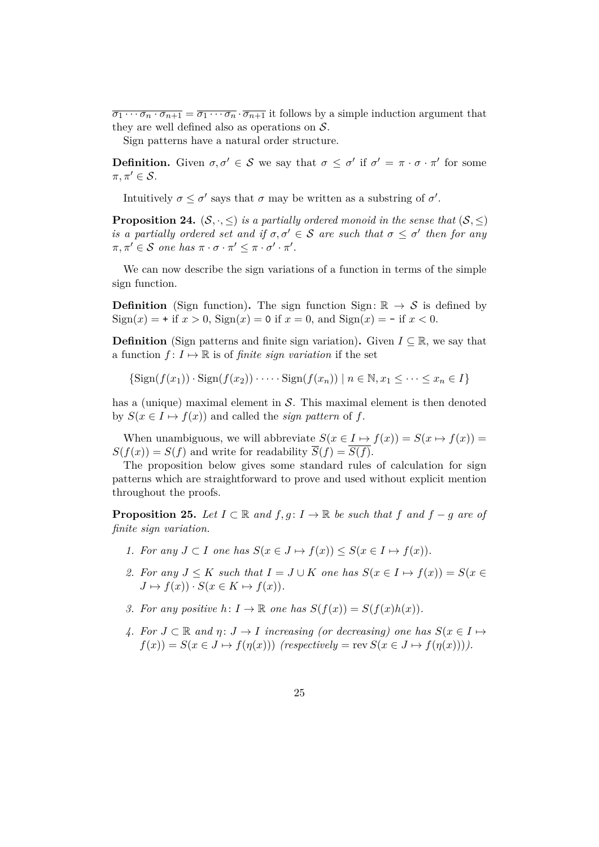$\overline{\sigma_1 \cdots \sigma_n \cdot \sigma_{n+1}} = \overline{\sigma_1 \cdots \sigma_n} \cdot \overline{\sigma_{n+1}}$  it follows by a simple induction argument that they are well defined also as operations on  $S$ .

Sign patterns have a natural order structure.

**Definition.** Given  $\sigma, \sigma' \in \mathcal{S}$  we say that  $\sigma \leq \sigma'$  if  $\sigma' = \pi \cdot \sigma \cdot \pi'$  for some  $\pi, \pi' \in \mathcal{S}$ .

Intuitively  $\sigma \leq \sigma'$  says that  $\sigma$  may be written as a substring of  $\sigma'$ .

**Proposition 24.**  $(S, \cdot, \leq)$  *is a partially ordered monoid in the sense that*  $(S, \leq)$ *is a partially ordered set and if*  $\sigma, \sigma' \in S$  *are such that*  $\sigma \leq \sigma'$  *then for any*  $\pi, \pi' \in \mathcal{S}$  *one* has  $\pi \cdot \sigma \cdot \pi' \leq \pi \cdot \sigma' \cdot \pi'.$ 

We can now describe the sign variations of a function in terms of the simple sign function.

**Definition** (Sign function). The sign function Sign:  $\mathbb{R} \to \mathcal{S}$  is defined by Sign(*x*) = + if  $x > 0$ , Sign(*x*) = 0 if  $x = 0$ , and Sign(*x*) = - if  $x < 0$ .

**Definition** (Sign patterns and finite sign variation). Given  $I \subseteq \mathbb{R}$ , we say that a function  $f: I \mapsto \mathbb{R}$  is of *finite sign variation* if the set

 $\{ \text{Sign}(f(x_1)) \cdot \text{Sign}(f(x_2)) \cdot \cdots \cdot \text{Sign}(f(x_n)) \mid n \in \mathbb{N}, x_1 \leq \cdots \leq x_n \in I \}$ 

has a (unique) maximal element in  $S$ . This maximal element is then denoted by  $S(x \in I \mapsto f(x))$  and called the *sign pattern* of f.

When unambiguous, we will abbreviate  $S(x \in I \mapsto f(x)) = S(x \mapsto f(x))$  $S(f(x)) = S(f)$  and write for readability  $\overline{S}(f) = \overline{S(f)}$ .

The proposition below gives some standard rules of calculation for sign patterns which are straightforward to prove and used without explicit mention throughout the proofs.

**Proposition 25.** *Let*  $I \subset \mathbb{R}$  *and*  $f, g: I \to \mathbb{R}$  *be such that*  $f$  *and*  $f - g$  *are of finite sign variation.*

- *1. For any J* ⊂ *I one has*  $S(x \in J \mapsto f(x)) \leq S(x \in I \mapsto f(x))$ .
- *2. For any*  $J \leq K$  *such that*  $I = J \cup K$  *one has*  $S(x \in I \mapsto f(x)) = S(x \in I)$  $J \mapsto f(x)$ ) ·  $S(x \in K \mapsto f(x))$ .
- *3. For any positive*  $h: I \to \mathbb{R}$  *one has*  $S(f(x)) = S(f(x)h(x))$ *.*
- *4.* For  $J \subset \mathbb{R}$  and  $\eta: J \to I$  increasing (or decreasing) one has  $S(x \in I \mapsto I)$  $f(x) = S(x \in J \mapsto f(\eta(x)))$  (respectively = rev  $S(x \in J \mapsto f(\eta(x)))$ ).